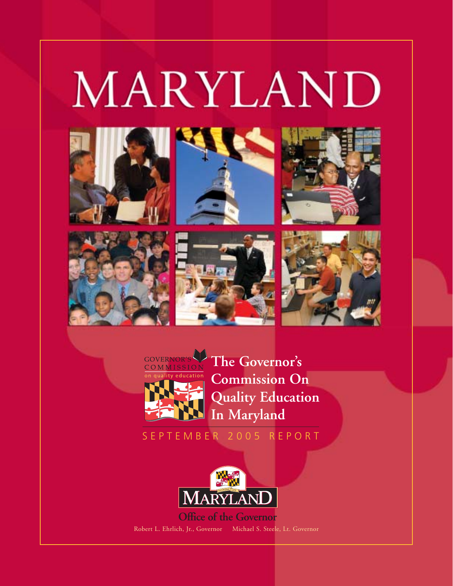# MARYLAND















**The Governor's Commission On Quality Education In Maryland**

SEPTEMBER 2005 REPORT



**Office of the Governor** Robert L. Ehrlich, Jr., Governor Michael S. Steele, Lt. Governor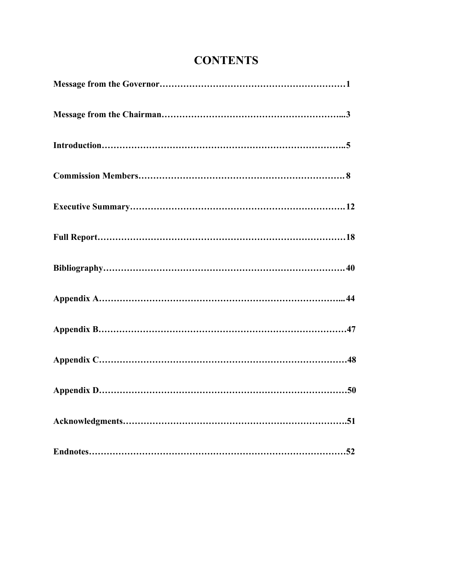# **CONTENTS**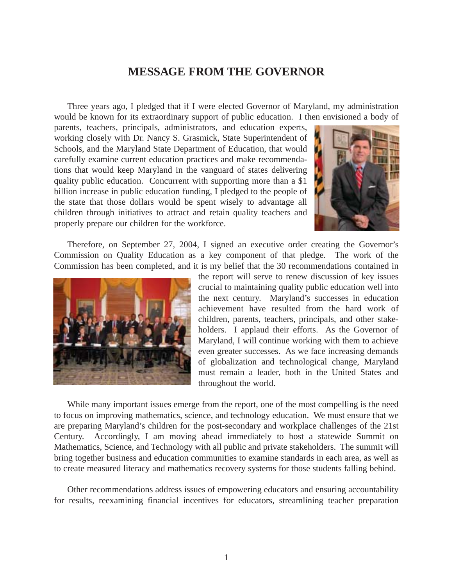# **MESSAGE FROM THE GOVERNOR**

Three years ago, I pledged that if I were elected Governor of Maryland, my administration would be known for its extraordinary support of public education. I then envisioned a body of

parents, teachers, principals, administrators, and education experts, working closely with Dr. Nancy S. Grasmick, State Superintendent of Schools, and the Maryland State Department of Education, that would carefully examine current education practices and make recommendations that would keep Maryland in the vanguard of states delivering quality public education. Concurrent with supporting more than a \$1 billion increase in public education funding, I pledged to the people of the state that those dollars would be spent wisely to advantage all children through initiatives to attract and retain quality teachers and properly prepare our children for the workforce.



Therefore, on September 27, 2004, I signed an executive order creating the Governor's Commission on Quality Education as a key component of that pledge. The work of the Commission has been completed, and it is my belief that the 30 recommendations contained in



the report will serve to renew discussion of key issues crucial to maintaining quality public education well into the next century. Maryland's successes in education achievement have resulted from the hard work of children, parents, teachers, principals, and other stakeholders. I applaud their efforts. As the Governor of Maryland, I will continue working with them to achieve even greater successes. As we face increasing demands of globalization and technological change, Maryland must remain a leader, both in the United States and throughout the world.

While many important issues emerge from the report, one of the most compelling is the need to focus on improving mathematics, science, and technology education. We must ensure that we are preparing Maryland's children for the post-secondary and workplace challenges of the 21st Century. Accordingly, I am moving ahead immediately to host a statewide Summit on Mathematics, Science, and Technology with all public and private stakeholders. The summit will bring together business and education communities to examine standards in each area, as well as to create measured literacy and mathematics recovery systems for those students falling behind.

Other recommendations address issues of empowering educators and ensuring accountability for results, reexamining financial incentives for educators, streamlining teacher preparation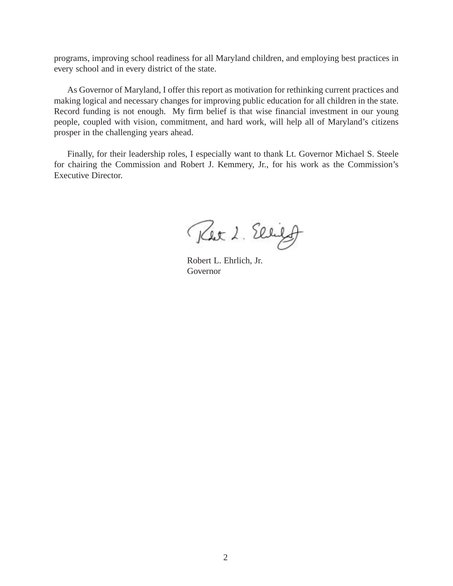programs, improving school readiness for all Maryland children, and employing best practices in every school and in every district of the state.

As Governor of Maryland, I offer this report as motivation for rethinking current practices and making logical and necessary changes for improving public education for all children in the state. Record funding is not enough. My firm belief is that wise financial investment in our young people, coupled with vision, commitment, and hard work, will help all of Maryland's citizens prosper in the challenging years ahead.

Finally, for their leadership roles, I especially want to thank Lt. Governor Michael S. Steele for chairing the Commission and Robert J. Kemmery, Jr., for his work as the Commission's Executive Director.

Ret 2. Ellifo

Robert L. Ehrlich, Jr. Governor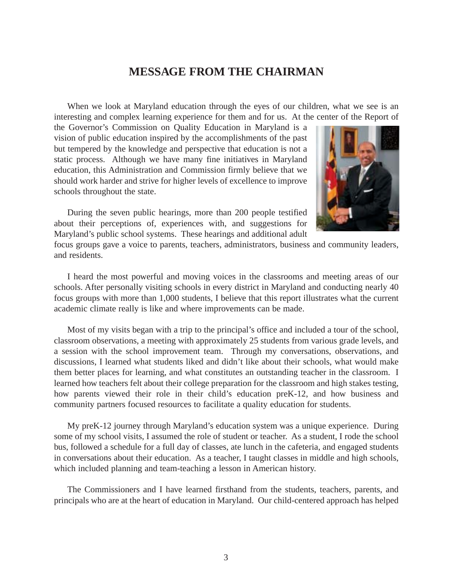# **MESSAGE FROM THE CHAIRMAN**

When we look at Maryland education through the eyes of our children, what we see is an interesting and complex learning experience for them and for us. At the center of the Report of

the Governor's Commission on Quality Education in Maryland is a vision of public education inspired by the accomplishments of the past but tempered by the knowledge and perspective that education is not a static process. Although we have many fine initiatives in Maryland education, this Administration and Commission firmly believe that we should work harder and strive for higher levels of excellence to improve schools throughout the state.

During the seven public hearings, more than 200 people testified about their perceptions of, experiences with, and suggestions for Maryland's public school systems. These hearings and additional adult



focus groups gave a voice to parents, teachers, administrators, business and community leaders, and residents.

I heard the most powerful and moving voices in the classrooms and meeting areas of our schools. After personally visiting schools in every district in Maryland and conducting nearly 40 focus groups with more than 1,000 students, I believe that this report illustrates what the current academic climate really is like and where improvements can be made.

Most of my visits began with a trip to the principal's office and included a tour of the school, classroom observations, a meeting with approximately 25 students from various grade levels, and a session with the school improvement team. Through my conversations, observations, and discussions, I learned what students liked and didn't like about their schools, what would make them better places for learning, and what constitutes an outstanding teacher in the classroom. I learned how teachers felt about their college preparation for the classroom and high stakes testing, how parents viewed their role in their child's education preK-12, and how business and community partners focused resources to facilitate a quality education for students.

My preK-12 journey through Maryland's education system was a unique experience. During some of my school visits, I assumed the role of student or teacher. As a student, I rode the school bus, followed a schedule for a full day of classes, ate lunch in the cafeteria, and engaged students in conversations about their education. As a teacher, I taught classes in middle and high schools, which included planning and team-teaching a lesson in American history.

The Commissioners and I have learned firsthand from the students, teachers, parents, and principals who are at the heart of education in Maryland. Our child-centered approach has helped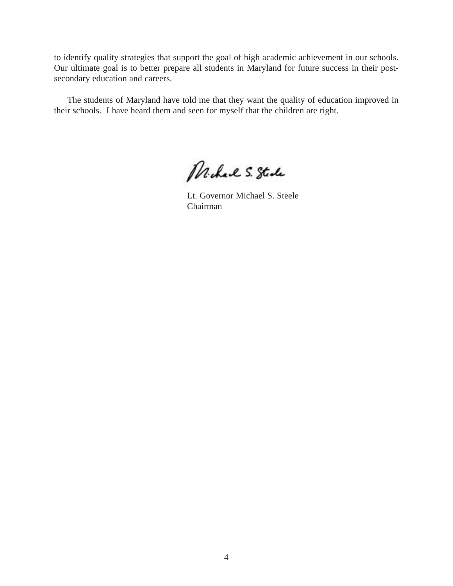to identify quality strategies that support the goal of high academic achievement in our schools. Our ultimate goal is to better prepare all students in Maryland for future success in their postsecondary education and careers.

The students of Maryland have told me that they want the quality of education improved in their schools. I have heard them and seen for myself that the children are right.

Michael S. Stade

Lt. Governor Michael S. Steele Chairman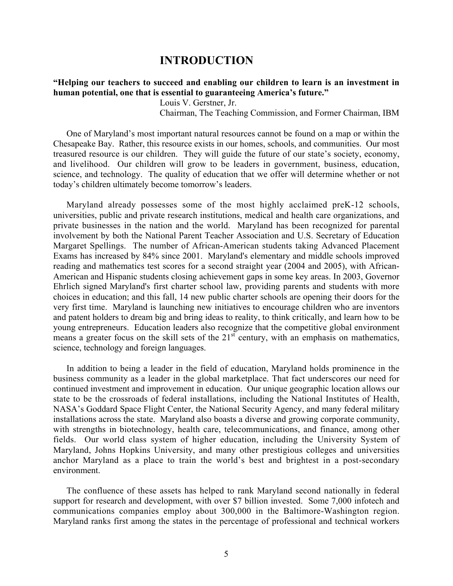# **INTRODUCTION**

# **ìHelping our teachers to succeed and enabling our children to learn is an investment in** human potential, one that is essential to guaranteeing America's future."

Louis V. Gerstner, Jr.

Chairman, The Teaching Commission, and Former Chairman, IBM

One of Maryland's most important natural resources cannot be found on a map or within the Chesapeake Bay. Rather, this resource exists in our homes, schools, and communities. Our most treasured resource is our children. They will guide the future of our state's society, economy, and livelihood. Our children will grow to be leaders in government, business, education, science, and technology. The quality of education that we offer will determine whether or not today's children ultimately become tomorrow's leaders.

Maryland already possesses some of the most highly acclaimed preK-12 schools, universities, public and private research institutions, medical and health care organizations, and private businesses in the nation and the world. Maryland has been recognized for parental involvement by both the National Parent Teacher Association and U.S. Secretary of Education Margaret Spellings. The number of African-American students taking Advanced Placement Exams has increased by 84% since 2001. Maryland's elementary and middle schools improved reading and mathematics test scores for a second straight year (2004 and 2005), with African-American and Hispanic students closing achievement gaps in some key areas. In 2003, Governor Ehrlich signed Maryland's first charter school law, providing parents and students with more choices in education; and this fall, 14 new public charter schools are opening their doors for the very first time. Maryland is launching new initiatives to encourage children who are inventors and patent holders to dream big and bring ideas to reality, to think critically, and learn how to be young entrepreneurs. Education leaders also recognize that the competitive global environment means a greater focus on the skill sets of the  $21<sup>st</sup>$  century, with an emphasis on mathematics, science, technology and foreign languages.

In addition to being a leader in the field of education, Maryland holds prominence in the business community as a leader in the global marketplace. That fact underscores our need for continued investment and improvement in education. Our unique geographic location allows our state to be the crossroads of federal installations, including the National Institutes of Health, NASAís Goddard Space Flight Center, the National Security Agency, and many federal military installations across the state. Maryland also boasts a diverse and growing corporate community, with strengths in biotechnology, health care, telecommunications, and finance, among other fields. Our world class system of higher education, including the University System of Maryland, Johns Hopkins University, and many other prestigious colleges and universities anchor Maryland as a place to train the world's best and brightest in a post-secondary environment.

The confluence of these assets has helped to rank Maryland second nationally in federal support for research and development, with over \$7 billion invested. Some 7,000 infotech and communications companies employ about 300,000 in the Baltimore-Washington region. Maryland ranks first among the states in the percentage of professional and technical workers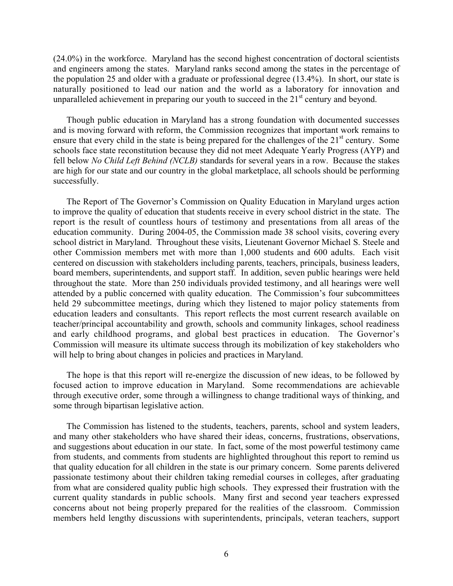(24.0%) in the workforce. Maryland has the second highest concentration of doctoral scientists and engineers among the states. Maryland ranks second among the states in the percentage of the population 25 and older with a graduate or professional degree (13.4%). In short, our state is naturally positioned to lead our nation and the world as a laboratory for innovation and unparalleled achievement in preparing our youth to succeed in the  $21<sup>st</sup>$  century and beyond.

Though public education in Maryland has a strong foundation with documented successes and is moving forward with reform, the Commission recognizes that important work remains to ensure that every child in the state is being prepared for the challenges of the  $21<sup>st</sup>$  century. Some schools face state reconstitution because they did not meet Adequate Yearly Progress (AYP) and fell below *No Child Left Behind (NCLB)* standards for several years in a row. Because the stakes are high for our state and our country in the global marketplace, all schools should be performing successfully.

The Report of The Governor's Commission on Quality Education in Maryland urges action to improve the quality of education that students receive in every school district in the state. The report is the result of countless hours of testimony and presentations from all areas of the education community. During 2004-05, the Commission made 38 school visits, covering every school district in Maryland. Throughout these visits, Lieutenant Governor Michael S. Steele and other Commission members met with more than 1,000 students and 600 adults. Each visit centered on discussion with stakeholders including parents, teachers, principals, business leaders, board members, superintendents, and support staff. In addition, seven public hearings were held throughout the state. More than 250 individuals provided testimony, and all hearings were well attended by a public concerned with quality education. The Commission's four subcommittees held 29 subcommittee meetings, during which they listened to major policy statements from education leaders and consultants. This report reflects the most current research available on teacher/principal accountability and growth, schools and community linkages, school readiness and early childhood programs, and global best practices in education. The Governor's Commission will measure its ultimate success through its mobilization of key stakeholders who will help to bring about changes in policies and practices in Maryland.

The hope is that this report will re-energize the discussion of new ideas, to be followed by focused action to improve education in Maryland. Some recommendations are achievable through executive order, some through a willingness to change traditional ways of thinking, and some through bipartisan legislative action.

The Commission has listened to the students, teachers, parents, school and system leaders, and many other stakeholders who have shared their ideas, concerns, frustrations, observations, and suggestions about education in our state. In fact, some of the most powerful testimony came from students, and comments from students are highlighted throughout this report to remind us that quality education for all children in the state is our primary concern. Some parents delivered passionate testimony about their children taking remedial courses in colleges, after graduating from what are considered quality public high schools. They expressed their frustration with the current quality standards in public schools. Many first and second year teachers expressed concerns about not being properly prepared for the realities of the classroom. Commission members held lengthy discussions with superintendents, principals, veteran teachers, support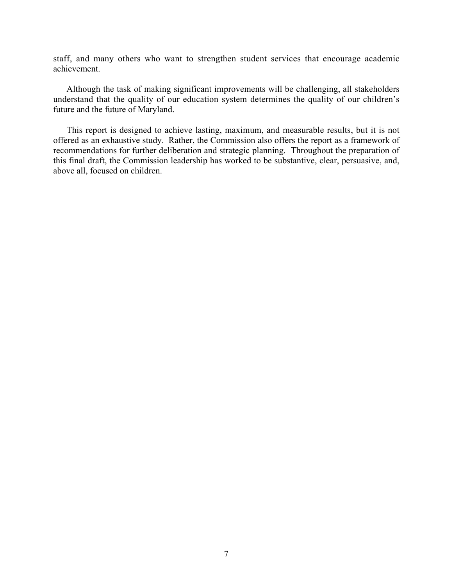staff, and many others who want to strengthen student services that encourage academic achievement.

Although the task of making significant improvements will be challenging, all stakeholders understand that the quality of our education system determines the quality of our children's future and the future of Maryland.

This report is designed to achieve lasting, maximum, and measurable results, but it is not offered as an exhaustive study. Rather, the Commission also offers the report as a framework of recommendations for further deliberation and strategic planning. Throughout the preparation of this final draft, the Commission leadership has worked to be substantive, clear, persuasive, and, above all, focused on children.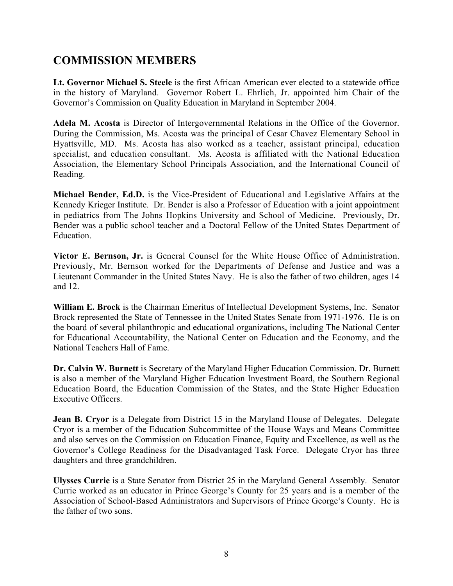# **COMMISSION MEMBERS**

**Lt. Governor Michael S. Steele** is the first African American ever elected to a statewide office in the history of Maryland. Governor Robert L. Ehrlich, Jr. appointed him Chair of the Governor's Commission on Quality Education in Maryland in September 2004.

**Adela M. Acosta** is Director of Intergovernmental Relations in the Office of the Governor. During the Commission, Ms. Acosta was the principal of Cesar Chavez Elementary School in Hyattsville, MD. Ms. Acosta has also worked as a teacher, assistant principal, education specialist, and education consultant. Ms. Acosta is affiliated with the National Education Association, the Elementary School Principals Association, and the International Council of Reading.

**Michael Bender, Ed.D.** is the Vice-President of Educational and Legislative Affairs at the Kennedy Krieger Institute. Dr. Bender is also a Professor of Education with a joint appointment in pediatrics from The Johns Hopkins University and School of Medicine. Previously, Dr. Bender was a public school teacher and a Doctoral Fellow of the United States Department of Education.

**Victor E. Bernson, Jr.** is General Counsel for the White House Office of Administration. Previously, Mr. Bernson worked for the Departments of Defense and Justice and was a Lieutenant Commander in the United States Navy. He is also the father of two children, ages 14 and 12.

**William E. Brock** is the Chairman Emeritus of Intellectual Development Systems, Inc. Senator Brock represented the State of Tennessee in the United States Senate from 1971-1976. He is on the board of several philanthropic and educational organizations, including The National Center for Educational Accountability, the National Center on Education and the Economy, and the National Teachers Hall of Fame.

**Dr. Calvin W. Burnett** is Secretary of the Maryland Higher Education Commission. Dr. Burnett is also a member of the Maryland Higher Education Investment Board, the Southern Regional Education Board, the Education Commission of the States, and the State Higher Education Executive Officers.

**Jean B. Cryor** is a Delegate from District 15 in the Maryland House of Delegates. Delegate Cryor is a member of the Education Subcommittee of the House Ways and Means Committee and also serves on the Commission on Education Finance, Equity and Excellence, as well as the Governor's College Readiness for the Disadvantaged Task Force. Delegate Cryor has three daughters and three grandchildren.

**Ulysses Currie** is a State Senator from District 25 in the Maryland General Assembly. Senator Currie worked as an educator in Prince George's County for 25 years and is a member of the Association of School-Based Administrators and Supervisors of Prince George's County. He is the father of two sons.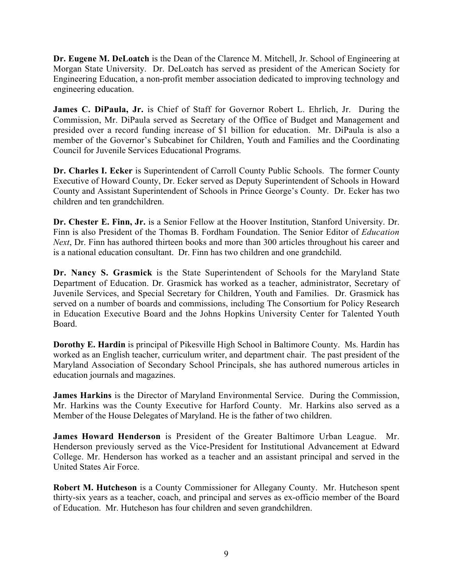**Dr. Eugene M. DeLoatch** is the Dean of the Clarence M. Mitchell, Jr. School of Engineering at Morgan State University. Dr. DeLoatch has served as president of the American Society for Engineering Education, a non-profit member association dedicated to improving technology and engineering education.

**James C. DiPaula, Jr.** is Chief of Staff for Governor Robert L. Ehrlich, Jr. During the Commission, Mr. DiPaula served as Secretary of the Office of Budget and Management and presided over a record funding increase of \$1 billion for education. Mr. DiPaula is also a member of the Governor's Subcabinet for Children, Youth and Families and the Coordinating Council for Juvenile Services Educational Programs.

**Dr. Charles I. Ecker** is Superintendent of Carroll County Public Schools. The former County Executive of Howard County, Dr. Ecker served as Deputy Superintendent of Schools in Howard County and Assistant Superintendent of Schools in Prince George's County. Dr. Ecker has two children and ten grandchildren.

**Dr. Chester E. Finn, Jr.** is a Senior Fellow at the Hoover Institution, Stanford University. Dr. Finn is also President of the Thomas B. Fordham Foundation. The Senior Editor of *Education Next*, Dr. Finn has authored thirteen books and more than 300 articles throughout his career and is a national education consultant. Dr. Finn has two children and one grandchild.

**Dr. Nancy S. Grasmick** is the State Superintendent of Schools for the Maryland State Department of Education. Dr. Grasmick has worked as a teacher, administrator, Secretary of Juvenile Services, and Special Secretary for Children, Youth and Families. Dr. Grasmick has served on a number of boards and commissions, including The Consortium for Policy Research in Education Executive Board and the Johns Hopkins University Center for Talented Youth Board.

**Dorothy E. Hardin** is principal of Pikesville High School in Baltimore County. Ms. Hardin has worked as an English teacher, curriculum writer, and department chair. The past president of the Maryland Association of Secondary School Principals, she has authored numerous articles in education journals and magazines.

**James Harkins** is the Director of Maryland Environmental Service. During the Commission, Mr. Harkins was the County Executive for Harford County. Mr. Harkins also served as a Member of the House Delegates of Maryland. He is the father of two children.

**James Howard Henderson** is President of the Greater Baltimore Urban League. Mr. Henderson previously served as the Vice-President for Institutional Advancement at Edward College. Mr. Henderson has worked as a teacher and an assistant principal and served in the United States Air Force.

**Robert M. Hutcheson** is a County Commissioner for Allegany County. Mr. Hutcheson spent thirty-six years as a teacher, coach, and principal and serves as ex-officio member of the Board of Education. Mr. Hutcheson has four children and seven grandchildren.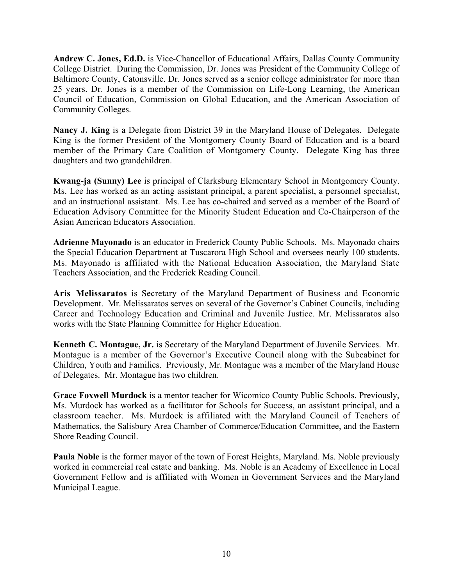**Andrew C. Jones, Ed.D.** is Vice-Chancellor of Educational Affairs, Dallas County Community College District. During the Commission, Dr. Jones was President of the Community College of Baltimore County, Catonsville. Dr. Jones served as a senior college administrator for more than 25 years. Dr. Jones is a member of the Commission on Life-Long Learning, the American Council of Education, Commission on Global Education, and the American Association of Community Colleges.

**Nancy J. King** is a Delegate from District 39 in the Maryland House of Delegates. Delegate King is the former President of the Montgomery County Board of Education and is a board member of the Primary Care Coalition of Montgomery County. Delegate King has three daughters and two grandchildren.

**Kwang-ja (Sunny) Lee** is principal of Clarksburg Elementary School in Montgomery County. Ms. Lee has worked as an acting assistant principal, a parent specialist, a personnel specialist, and an instructional assistant. Ms. Lee has co-chaired and served as a member of the Board of Education Advisory Committee for the Minority Student Education and Co-Chairperson of the Asian American Educators Association.

**Adrienne Mayonado** is an educator in Frederick County Public Schools. Ms. Mayonado chairs the Special Education Department at Tuscarora High School and oversees nearly 100 students. Ms. Mayonado is affiliated with the National Education Association, the Maryland State Teachers Association, and the Frederick Reading Council.

**Aris Melissaratos** is Secretary of the Maryland Department of Business and Economic Development. Mr. Melissaratos serves on several of the Governor's Cabinet Councils, including Career and Technology Education and Criminal and Juvenile Justice. Mr. Melissaratos also works with the State Planning Committee for Higher Education.

**Kenneth C. Montague, Jr.** is Secretary of the Maryland Department of Juvenile Services. Mr. Montague is a member of the Governor's Executive Council along with the Subcabinet for Children, Youth and Families. Previously, Mr. Montague was a member of the Maryland House of Delegates. Mr. Montague has two children.

**Grace Foxwell Murdock** is a mentor teacher for Wicomico County Public Schools. Previously, Ms. Murdock has worked as a facilitator for Schools for Success, an assistant principal, and a classroom teacher. Ms. Murdock is affiliated with the Maryland Council of Teachers of Mathematics, the Salisbury Area Chamber of Commerce/Education Committee, and the Eastern Shore Reading Council.

**Paula Noble** is the former mayor of the town of Forest Heights, Maryland. Ms. Noble previously worked in commercial real estate and banking. Ms. Noble is an Academy of Excellence in Local Government Fellow and is affiliated with Women in Government Services and the Maryland Municipal League.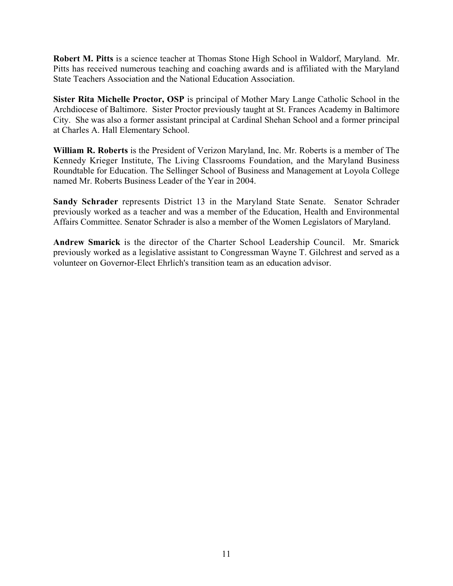**Robert M. Pitts** is a science teacher at Thomas Stone High School in Waldorf, Maryland. Mr. Pitts has received numerous teaching and coaching awards and is affiliated with the Maryland State Teachers Association and the National Education Association.

**Sister Rita Michelle Proctor, OSP** is principal of Mother Mary Lange Catholic School in the Archdiocese of Baltimore. Sister Proctor previously taught at St. Frances Academy in Baltimore City. She was also a former assistant principal at Cardinal Shehan School and a former principal at Charles A. Hall Elementary School.

**William R. Roberts** is the President of Verizon Maryland, Inc. Mr. Roberts is a member of The Kennedy Krieger Institute, The Living Classrooms Foundation, and the Maryland Business Roundtable for Education. The Sellinger School of Business and Management at Loyola College named Mr. Roberts Business Leader of the Year in 2004.

**Sandy Schrader** represents District 13 in the Maryland State Senate. Senator Schrader previously worked as a teacher and was a member of the Education, Health and Environmental Affairs Committee. Senator Schrader is also a member of the Women Legislators of Maryland.

**Andrew Smarick** is the director of the Charter School Leadership Council. Mr. Smarick previously worked as a legislative assistant to Congressman Wayne T. Gilchrest and served as a volunteer on Governor-Elect Ehrlich's transition team as an education advisor.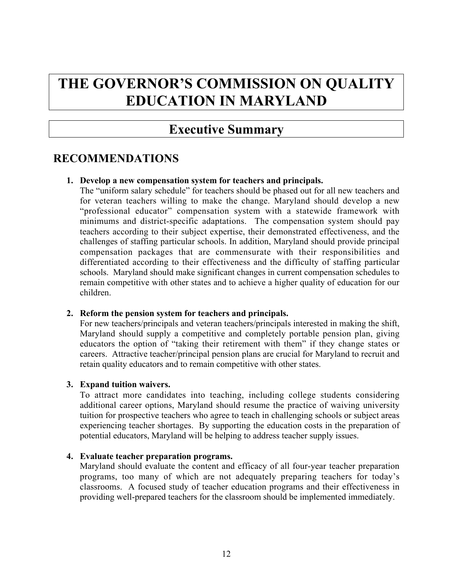# **THE GOVERNOR'S COMMISSION ON QUALITY EDUCATION IN MARYLAND**

# **Executive Summary**

# **RECOMMENDATIONS**

# **1. Develop a new compensation system for teachers and principals.**

The "uniform salary schedule" for teachers should be phased out for all new teachers and for veteran teachers willing to make the change. Maryland should develop a new "professional educator" compensation system with a statewide framework with minimums and district-specific adaptations. The compensation system should pay teachers according to their subject expertise, their demonstrated effectiveness, and the challenges of staffing particular schools. In addition, Maryland should provide principal compensation packages that are commensurate with their responsibilities and differentiated according to their effectiveness and the difficulty of staffing particular schools. Maryland should make significant changes in current compensation schedules to remain competitive with other states and to achieve a higher quality of education for our children.

# **2. Reform the pension system for teachers and principals.**

For new teachers/principals and veteran teachers/principals interested in making the shift, Maryland should supply a competitive and completely portable pension plan, giving educators the option of "taking their retirement with them" if they change states or careers.Attractive teacher/principal pension plans are crucial for Maryland to recruit and retain quality educators and to remain competitive with other states.

# **3. Expand tuition waivers.**

To attract more candidates into teaching, including college students considering additional career options, Maryland should resume the practice of waiving university tuition for prospective teachers who agree to teach in challenging schools or subject areas experiencing teacher shortages. By supporting the education costs in the preparation of potential educators, Maryland will be helping to address teacher supply issues.

# **4. Evaluate teacher preparation programs.**

Maryland should evaluate the content and efficacy of all four-year teacher preparation programs, too many of which are not adequately preparing teachers for today's classrooms. A focused study of teacher education programs and their effectiveness in providing well-prepared teachers for the classroom should be implemented immediately.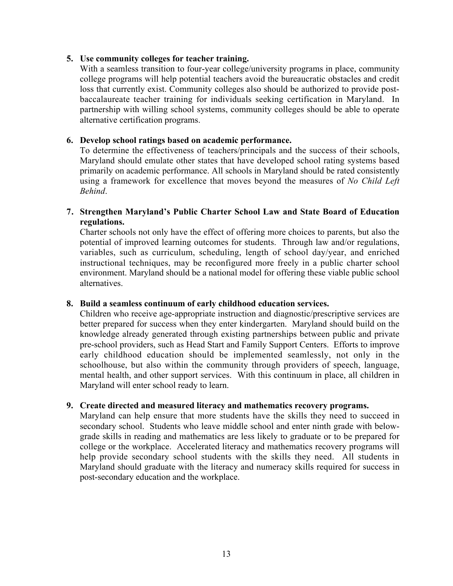# **5. Use community colleges for teacher training.**

With a seamless transition to four-year college/university programs in place, community college programs will help potential teachers avoid the bureaucratic obstacles and credit loss that currently exist. Community colleges also should be authorized to provide postbaccalaureate teacher training for individuals seeking certification in Maryland. In partnership with willing school systems, community colleges should be able to operate alternative certification programs.

# **6. Develop school ratings based on academic performance.**

To determine the effectiveness of teachers/principals and the success of their schools, Maryland should emulate other states that have developed school rating systems based primarily on academic performance. All schools in Maryland should be rated consistently using a framework for excellence that moves beyond the measures of *No Child Left Behind*.

# **7. Strengthen Maryland's Public Charter School Law and State Board of Education regulations.**

Charter schools not only have the effect of offering more choices to parents, but also the potential of improved learning outcomes for students. Through law and/or regulations, variables, such as curriculum, scheduling, length of school day/year, and enriched instructional techniques, may be reconfigured more freely in a public charter school environment. Maryland should be a national model for offering these viable public school alternatives.

# **8. Build a seamless continuum of early childhood education services.**

Children who receive age-appropriate instruction and diagnostic/prescriptive services are better prepared for success when they enter kindergarten. Maryland should build on the knowledge already generated through existing partnerships between public and private pre-school providers, such as Head Start and Family Support Centers. Efforts to improve early childhood education should be implemented seamlessly, not only in the schoolhouse, but also within the community through providers of speech, language, mental health, and other support services. With this continuum in place, all children in Maryland will enter school ready to learn.

# **9. Create directed and measured literacy and mathematics recovery programs.**

Maryland can help ensure that more students have the skills they need to succeed in secondary school. Students who leave middle school and enter ninth grade with belowgrade skills in reading and mathematics are less likely to graduate or to be prepared for college or the workplace. Accelerated literacy and mathematics recovery programs will help provide secondary school students with the skills they need. All students in Maryland should graduate with the literacy and numeracy skills required for success in post-secondary education and the workplace.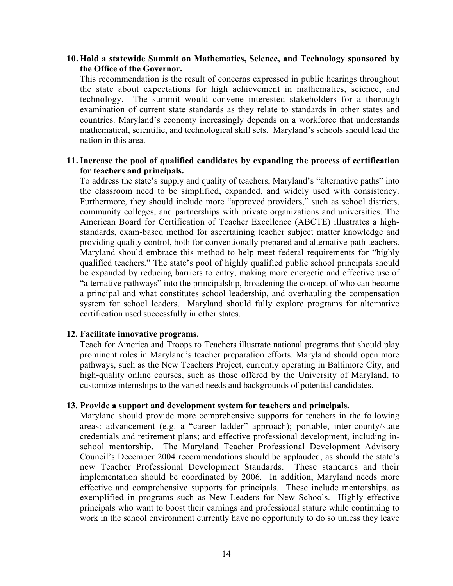## **10. Hold a statewide Summit on Mathematics, Science, and Technology sponsored by the Office of the Governor.**

This recommendation is the result of concerns expressed in public hearings throughout the state about expectations for high achievement in mathematics, science, and technology. The summit would convene interested stakeholders for a thorough examination of current state standards as they relate to standards in other states and countries. Maryland's economy increasingly depends on a workforce that understands mathematical, scientific, and technological skill sets. Maryland's schools should lead the nation in this area.

# **11.Increase the pool of qualified candidates by expanding the process of certification for teachers and principals.**

To address the state's supply and quality of teachers, Maryland's "alternative paths" into the classroom need to be simplified, expanded, and widely used with consistency. Furthermore, they should include more "approved providers," such as school districts, community colleges, and partnerships with private organizations and universities. The American Board for Certification of Teacher Excellence (ABCTE) illustrates a highstandards, exam-based method for ascertaining teacher subject matter knowledge and providing quality control, both for conventionally prepared and alternative-path teachers. Maryland should embrace this method to help meet federal requirements for "highly qualified teachers." The state's pool of highly qualified public school principals should be expanded by reducing barriers to entry, making more energetic and effective use of "alternative pathways" into the principalship, broadening the concept of who can become a principal and what constitutes school leadership, and overhauling the compensation system for school leaders. Maryland should fully explore programs for alternative certification used successfully in other states.

# **12. Facilitate innovative programs.**

Teach for America and Troops to Teachers illustrate national programs that should play prominent roles in Maryland's teacher preparation efforts. Maryland should open more pathways, such as the New Teachers Project, currently operating in Baltimore City, and high-quality online courses, such as those offered by the University of Maryland, to customize internships to the varied needs and backgrounds of potential candidates.

#### **13. Provide a support and development system for teachers and principals.**

Maryland should provide more comprehensive supports for teachers in the following areas: advancement (e.g. a "career ladder" approach); portable, inter-county/state credentials and retirement plans; and effective professional development, including inschool mentorship. The Maryland Teacher Professional Development Advisory Council's December 2004 recommendations should be applauded, as should the state's new Teacher Professional Development Standards. These standards and their implementation should be coordinated by 2006. In addition, Maryland needs more effective and comprehensive supports for principals. These include mentorships, as exemplified in programs such as New Leaders for New Schools. Highly effective principals who want to boost their earnings and professional stature while continuing to work in the school environment currently have no opportunity to do so unless they leave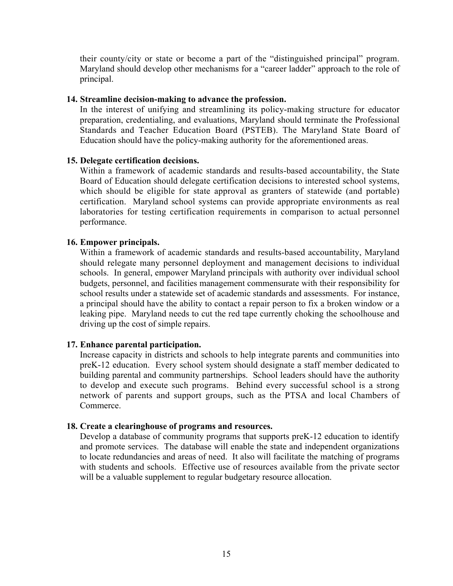their county/city or state or become a part of the "distinguished principal" program. Maryland should develop other mechanisms for a "career ladder" approach to the role of principal.

# **14. Streamline decision-making to advance the profession.**

In the interest of unifying and streamlining its policy-making structure for educator preparation, credentialing, and evaluations, Maryland should terminate the Professional Standards and Teacher Education Board (PSTEB). The Maryland State Board of Education should have the policy-making authority for the aforementioned areas.

# **15. Delegate certification decisions.**

Within a framework of academic standards and results-based accountability, the State Board of Education should delegate certification decisions to interested school systems, which should be eligible for state approval as granters of statewide (and portable) certification. Maryland school systems can provide appropriate environments as real laboratories for testing certification requirements in comparison to actual personnel performance.

# **16. Empower principals.**

Within a framework of academic standards and results-based accountability, Maryland should relegate many personnel deployment and management decisions to individual schools. In general, empower Maryland principals with authority over individual school budgets, personnel, and facilities management commensurate with their responsibility for school results under a statewide set of academic standards and assessments. For instance, a principal should have the ability to contact a repair person to fix a broken window or a leaking pipe. Maryland needs to cut the red tape currently choking the schoolhouse and driving up the cost of simple repairs.

# **17. Enhance parental participation.**

Increase capacity in districts and schools to help integrate parents and communities into preK-12 education. Every school system should designate a staff member dedicated to building parental and community partnerships. School leaders should have the authority to develop and execute such programs. Behind every successful school is a strong network of parents and support groups, such as the PTSA and local Chambers of Commerce.

# **18. Create a clearinghouse of programs and resources.**

Develop a database of community programs that supports preK-12 education to identify and promote services. The database will enable the state and independent organizations to locate redundancies and areas of need. It also will facilitate the matching of programs with students and schools. Effective use of resources available from the private sector will be a valuable supplement to regular budgetary resource allocation.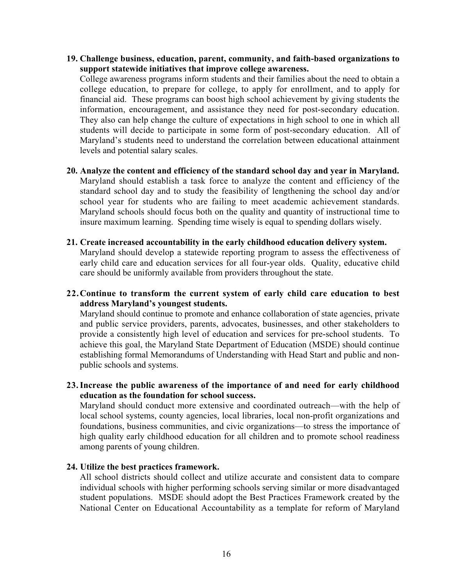**19. Challenge business, education, parent, community, and faith-based organizations to support statewide initiatives that improve college awareness.**

College awareness programs inform students and their families about the need to obtain a college education, to prepare for college, to apply for enrollment, and to apply for financial aid. These programs can boost high school achievement by giving students the information, encouragement, and assistance they need for post-secondary education. They also can help change the culture of expectations in high school to one in which all students will decide to participate in some form of post-secondary education. All of Maryland's students need to understand the correlation between educational attainment levels and potential salary scales.

- **20. Analyze the content and efficiency of the standard school day and year in Maryland.** Maryland should establish a task force to analyze the content and efficiency of the standard school day and to study the feasibility of lengthening the school day and/or school year for students who are failing to meet academic achievement standards. Maryland schools should focus both on the quality and quantity of instructional time to insure maximum learning. Spending time wisely is equal to spending dollars wisely.
- **21. Create increased accountability in the early childhood education delivery system.** Maryland should develop a statewide reporting program to assess the effectiveness of early child care and education services for all four-year olds. Quality, educative child care should be uniformly available from providers throughout the state.
- **22.Continue to transform the current system of early child care education to best** address Maryland's youngest students.

Maryland should continue to promote and enhance collaboration of state agencies, private and public service providers, parents, advocates, businesses, and other stakeholders to provide a consistently high level of education and services for pre-school students. To achieve this goal, the Maryland State Department of Education (MSDE) should continue establishing formal Memorandums of Understanding with Head Start and public and nonpublic schools and systems.

**23.Increase the public awareness of the importance of and need for early childhood education as the foundation for school success.**

Maryland should conduct more extensive and coordinated outreach—with the help of local school systems, county agencies, local libraries, local non-profit organizations and foundations, business communities, and civic organizations—to stress the importance of high quality early childhood education for all children and to promote school readiness among parents of young children.

# **24. Utilize the best practices framework.**

All school districts should collect and utilize accurate and consistent data to compare individual schools with higher performing schools serving similar or more disadvantaged student populations. MSDE should adopt the Best Practices Framework created by the National Center on Educational Accountability as a template for reform of Maryland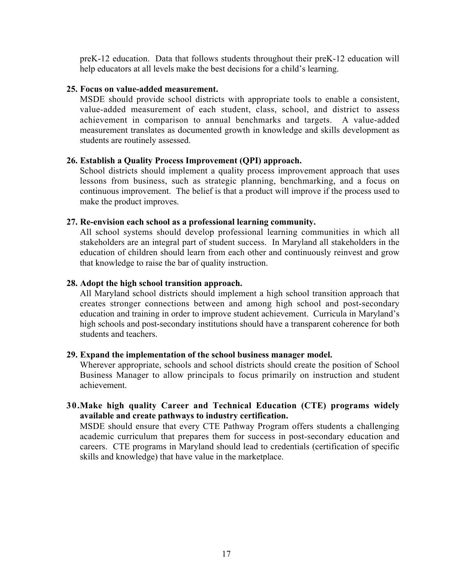preK-12 education. Data that follows students throughout their preK-12 education will help educators at all levels make the best decisions for a child's learning.

# **25. Focus on value-added measurement.**

MSDE should provide school districts with appropriate tools to enable a consistent, value-added measurement of each student, class, school, and district to assess achievement in comparison to annual benchmarks and targets. A value-added measurement translates as documented growth in knowledge and skills development as students are routinely assessed.

# **26. Establish a Quality Process Improvement (QPI) approach.**

School districts should implement a quality process improvement approach that uses lessons from business, such as strategic planning, benchmarking, and a focus on continuous improvement. The belief is that a product will improve if the process used to make the product improves.

# **27. Re-envision each school as a professional learning community.**

All school systems should develop professional learning communities in which all stakeholders are an integral part of student success. In Maryland all stakeholders in the education of children should learn from each other and continuously reinvest and grow that knowledge to raise the bar of quality instruction.

# **28. Adopt the high school transition approach.**

All Maryland school districts should implement a high school transition approach that creates stronger connections between and among high school and post-secondary education and training in order to improve student achievement. Curricula in Maryland's high schools and post-secondary institutions should have a transparent coherence for both students and teachers.

# **29. Expand the implementation of the school business manager model.**

Wherever appropriate, schools and school districts should create the position of School Business Manager to allow principals to focus primarily on instruction and student achievement.

# **30.Make high quality Career and Technical Education (CTE) programs widely available and create pathways to industry certification.**

MSDE should ensure that every CTE Pathway Program offers students a challenging academic curriculum that prepares them for success in post-secondary education and careers. CTE programs in Maryland should lead to credentials (certification of specific skills and knowledge) that have value in the marketplace.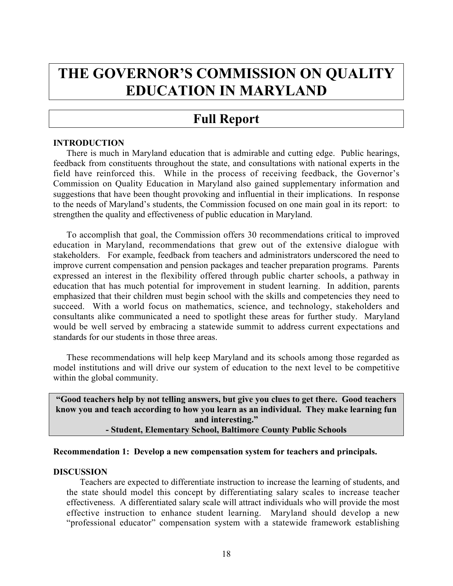# THE GOVERNOR'S COMMISSION ON QUALITY **EDUCATION IN MARYLAND**

# **Full Report**

# **INTRODUCTION**

There is much in Maryland education that is admirable and cutting edge. Public hearings, feedback from constituents throughout the state, and consultations with national experts in the field have reinforced this. While in the process of receiving feedback, the Governor's Commission on Quality Education in Maryland also gained supplementary information and suggestions that have been thought provoking and influential in their implications. In response to the needs of Maryland's students, the Commission focused on one main goal in its report: to strengthen the quality and effectiveness of public education in Maryland.

To accomplish that goal, the Commission offers 30 recommendations critical to improved education in Maryland, recommendations that grew out of the extensive dialogue with stakeholders. For example, feedback from teachers and administrators underscored the need to improve current compensation and pension packages and teacher preparation programs. Parents expressed an interest in the flexibility offered through public charter schools, a pathway in education that has much potential for improvement in student learning. In addition, parents emphasized that their children must begin school with the skills and competencies they need to succeed. With a world focus on mathematics, science, and technology, stakeholders and consultants alike communicated a need to spotlight these areas for further study. Maryland would be well served by embracing a statewide summit to address current expectations and standards for our students in those three areas.

These recommendations will help keep Maryland and its schools among those regarded as model institutions and will drive our system of education to the next level to be competitive within the global community.

**ìGood teachers help by not telling answers, but give you clues to get there. Good teachers know you and teach according to how you learn as an individual. They make learning fun** and interesting." **- Student, Elementary School, Baltimore County Public Schools**

#### **Recommendation 1: Develop a new compensation system for teachers and principals.**

#### **DISCUSSION**

Teachers are expected to differentiate instruction to increase the learning of students, and the state should model this concept by differentiating salary scales to increase teacher effectiveness. A differentiated salary scale will attract individuals who will provide the most effective instruction to enhance student learning. Maryland should develop a new "professional educator" compensation system with a statewide framework establishing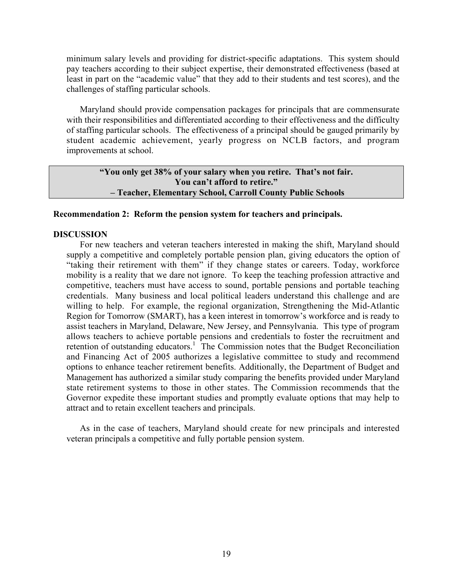minimum salary levels and providing for district-specific adaptations. This system should pay teachers according to their subject expertise, their demonstrated effectiveness (based at least in part on the "academic value" that they add to their students and test scores), and the challenges of staffing particular schools.

Maryland should provide compensation packages for principals that are commensurate with their responsibilities and differentiated according to their effectiveness and the difficulty of staffing particular schools. The effectiveness of a principal should be gauged primarily by student academic achievement, yearly progress on NCLB factors, and program improvements at school.

# **iiva** You only get 38% of your salary when you retire. That's not fair. **You can't afford to retire.**" **-Teacher, Elementary School, Carroll County Public Schools**

#### **Recommendation 2: Reform the pension system for teachers and principals.**

#### **DISCUSSION**

For new teachers and veteran teachers interested in making the shift, Maryland should supply a competitive and completely portable pension plan, giving educators the option of "taking their retirement with them" if they change states or careers. Today, workforce mobility is a reality that we dare not ignore. To keep the teaching profession attractive and competitive, teachers must have access to sound, portable pensions and portable teaching credentials. Many business and local political leaders understand this challenge and are willing to help. For example, the regional organization, Strengthening the Mid-Atlantic Region for Tomorrow (SMART), has a keen interest in tomorrow's workforce and is ready to assist teachers in Maryland, Delaware, New Jersey, and Pennsylvania. This type of program allows teachers to achieve portable pensions and credentials to foster the recruitment and retention of outstanding educators.<sup>1</sup> The Commission notes that the Budget Reconciliation and Financing Act of 2005 authorizes a legislative committee to study and recommend options to enhance teacher retirement benefits. Additionally, the Department of Budget and Management has authorized a similar study comparing the benefits provided under Maryland state retirement systems to those in other states. The Commission recommends that the Governor expedite these important studies and promptly evaluate options that may help to attract and to retain excellent teachers and principals.

As in the case of teachers, Maryland should create for new principals and interested veteran principals a competitive and fully portable pension system.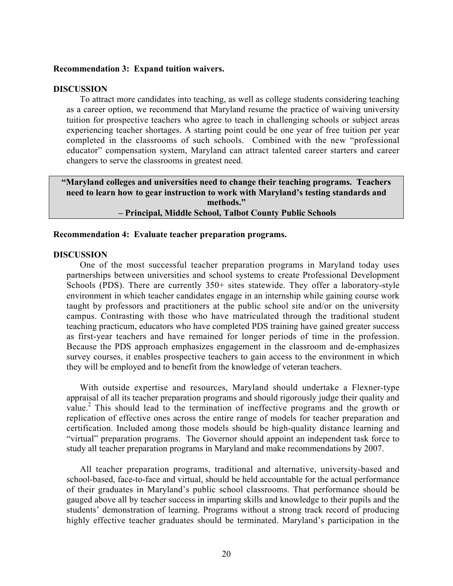#### **Recommendation 3: Expand tuition waivers.**

#### **DISCUSSION**

To attract more candidates into teaching, as well as college students considering teaching as a career option, we recommend that Maryland resume the practice of waiving university tuition for prospective teachers who agree to teach in challenging schools or subject areas experiencing teacher shortages. A starting point could be one year of free tuition per year completed in the classrooms of such schools. Combined with the new "professional" educator" compensation system, Maryland can attract talented career starters and career changers to serve the classrooms in greatest need.

**ìMaryland colleges and universities need to change their teaching programs. Teachers** need to learn how to gear instruction to work with Maryland's testing standards and methods."  **ñ Principal, Middle School, Talbot County Public Schools**

#### **Recommendation 4: Evaluate teacher preparation programs.**

#### **DISCUSSION**

One of the most successful teacher preparation programs in Maryland today uses partnerships between universities and school systems to create Professional Development Schools (PDS). There are currently 350+ sites statewide. They offer a laboratory-style environment in which teacher candidates engage in an internship while gaining course work taught by professors and practitioners at the public school site and/or on the university campus. Contrasting with those who have matriculated through the traditional student teaching practicum, educators who have completed PDS training have gained greater success as first-year teachers and have remained for longer periods of time in the profession. Because the PDS approach emphasizes engagement in the classroom and de-emphasizes survey courses, it enables prospective teachers to gain access to the environment in which they will be employed and to benefit from the knowledge of veteran teachers.

With outside expertise and resources, Maryland should undertake a Flexner-type appraisal of all its teacher preparation programs and should rigorously judge their quality and value.<sup>2</sup> This should lead to the termination of ineffective programs and the growth or replication of effective ones across the entire range of models for teacher preparation and certification. Included among those models should be high-quality distance learning and "virtual" preparation programs. The Governor should appoint an independent task force to study all teacher preparation programs in Maryland and make recommendations by 2007.

All teacher preparation programs, traditional and alternative, university-based and school-based, face-to-face and virtual, should be held accountable for the actual performance of their graduates in Maryland's public school classrooms. That performance should be gauged above all by teacher success in imparting skills and knowledge to their pupils and the students' demonstration of learning. Programs without a strong track record of producing highly effective teacher graduates should be terminated. Maryland's participation in the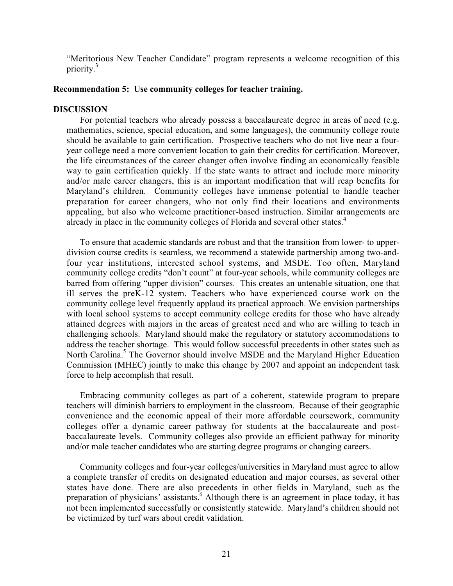"Meritorious New Teacher Candidate" program represents a welcome recognition of this priority. $3$ 

#### **Recommendation 5: Use community colleges for teacher training.**

#### **DISCUSSION**

For potential teachers who already possess a baccalaureate degree in areas of need (e.g. mathematics, science, special education, and some languages), the community college route should be available to gain certification. Prospective teachers who do not live near a fouryear college need a more convenient location to gain their credits for certification. Moreover, the life circumstances of the career changer often involve finding an economically feasible way to gain certification quickly. If the state wants to attract and include more minority and/or male career changers, this is an important modification that will reap benefits for Maryland's children. Community colleges have immense potential to handle teacher preparation for career changers, who not only find their locations and environments appealing, but also who welcome practitioner-based instruction. Similar arrangements are already in place in the community colleges of Florida and several other states.<sup>4</sup>

To ensure that academic standards are robust and that the transition from lower- to upperdivision course credits is seamless, we recommend a statewide partnership among two-andfour year institutions, interested school systems, and MSDE. Too often, Maryland community college credits "don't count" at four-year schools, while community colleges are barred from offering "upper division" courses. This creates an untenable situation, one that ill serves the preK-12 system. Teachers who have experienced course work on the community college level frequently applaud its practical approach. We envision partnerships with local school systems to accept community college credits for those who have already attained degrees with majors in the areas of greatest need and who are willing to teach in challenging schools. Maryland should make the regulatory or statutory accommodations to address the teacher shortage. This would follow successful precedents in other states such as North Carolina.<sup>5</sup> The Governor should involve MSDE and the Maryland Higher Education Commission (MHEC) jointly to make this change by 2007 and appoint an independent task force to help accomplish that result.

Embracing community colleges as part of a coherent, statewide program to prepare teachers will diminish barriers to employment in the classroom. Because of their geographic convenience and the economic appeal of their more affordable coursework, community colleges offer a dynamic career pathway for students at the baccalaureate and postbaccalaureate levels. Community colleges also provide an efficient pathway for minority and/or male teacher candidates who are starting degree programs or changing careers.

Community colleges and four-year colleges/universities in Maryland must agree to allow a complete transfer of credits on designated education and major courses, as several other states have done. There are also precedents in other fields in Maryland, such as the preparation of physicians' assistants.<sup> $6$ </sup> Although there is an agreement in place today, it has not been implemented successfully or consistently statewide. Maryland's children should not be victimized by turf wars about credit validation.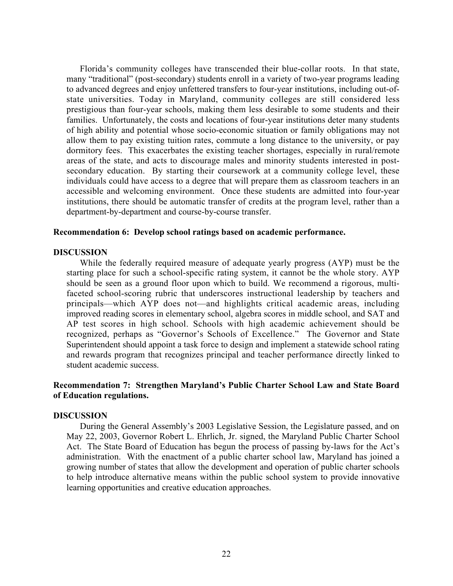Florida's community colleges have transcended their blue-collar roots. In that state, many "traditional" (post-secondary) students enroll in a variety of two-year programs leading to advanced degrees and enjoy unfettered transfers to four-year institutions, including out-ofstate universities. Today in Maryland, community colleges are still considered less prestigious than four-year schools, making them less desirable to some students and their families. Unfortunately, the costs and locations of four-year institutions deter many students of high ability and potential whose socio-economic situation or family obligations may not allow them to pay existing tuition rates, commute a long distance to the university, or pay dormitory fees. This exacerbates the existing teacher shortages, especially in rural/remote areas of the state, and acts to discourage males and minority students interested in postsecondary education. By starting their coursework at a community college level, these individuals could have access to a degree that will prepare them as classroom teachers in an accessible and welcoming environment. Once these students are admitted into four-year institutions, there should be automatic transfer of credits at the program level, rather than a department-by-department and course-by-course transfer.

#### **Recommendation 6: Develop school ratings based on academic performance.**

#### **DISCUSSION**

While the federally required measure of adequate yearly progress (AYP) must be the starting place for such a school-specific rating system, it cannot be the whole story. AYP should be seen as a ground floor upon which to build. We recommend a rigorous, multifaceted school-scoring rubric that underscores instructional leadership by teachers and principals—which AYP does not—and highlights critical academic areas, including improved reading scores in elementary school, algebra scores in middle school, and SAT and AP test scores in high school. Schools with high academic achievement should be recognized, perhaps as "Governor's Schools of Excellence." The Governor and State Superintendent should appoint a task force to design and implement a statewide school rating and rewards program that recognizes principal and teacher performance directly linked to student academic success.

# **Recommendation 7: Strengthen Maryland's Public Charter School Law and State Board of Education regulations.**

#### **DISCUSSION**

During the General Assembly's 2003 Legislative Session, the Legislature passed, and on May 22, 2003, Governor Robert L. Ehrlich, Jr. signed, the Maryland Public Charter School Act. The State Board of Education has begun the process of passing by-laws for the Act's administration. With the enactment of a public charter school law, Maryland has joined a growing number of states that allow the development and operation of public charter schools to help introduce alternative means within the public school system to provide innovative learning opportunities and creative education approaches.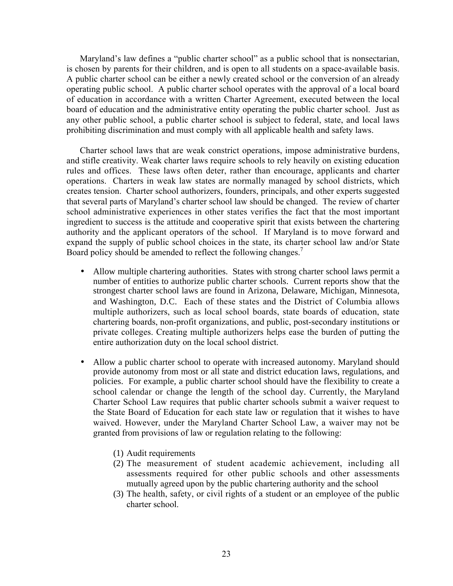Maryland's law defines a "public charter school" as a public school that is nonsectarian, is chosen by parents for their children, and is open to all students on a space-available basis. A public charter school can be either a newly created school or the conversion of an already operating public school. A public charter school operates with the approval of a local board of education in accordance with a written Charter Agreement, executed between the local board of education and the administrative entity operating the public charter school. Just as any other public school, a public charter school is subject to federal, state, and local laws prohibiting discrimination and must comply with all applicable health and safety laws.

Charter school laws that are weak constrict operations, impose administrative burdens, and stifle creativity. Weak charter laws require schools to rely heavily on existing education rules and offices. These laws often deter, rather than encourage, applicants and charter operations. Charters in weak law states are normally managed by school districts, which creates tension. Charter school authorizers, founders, principals, and other experts suggested that several parts of Maryland's charter school law should be changed. The review of charter school administrative experiences in other states verifies the fact that the most important ingredient to success is the attitude and cooperative spirit that exists between the chartering authority and the applicant operators of the school. If Maryland is to move forward and expand the supply of public school choices in the state, its charter school law and/or State Board policy should be amended to reflect the following changes.<sup>7</sup>

- Allow multiple chartering authorities. States with strong charter school laws permit a number of entities to authorize public charter schools. Current reports show that the strongest charter school laws are found in Arizona, Delaware, Michigan, Minnesota, and Washington, D.C. Each of these states and the District of Columbia allows multiple authorizers, such as local school boards, state boards of education, state chartering boards, non-profit organizations, and public, post-secondary institutions or private colleges. Creating multiple authorizers helps ease the burden of putting the entire authorization duty on the local school district.
- Allow a public charter school to operate with increased autonomy. Maryland should provide autonomy from most or all state and district education laws, regulations, and policies. For example, a public charter school should have the flexibility to create a school calendar or change the length of the school day. Currently, the Maryland Charter School Law requires that public charter schools submit a waiver request to the State Board of Education for each state law or regulation that it wishes to have waived. However, under the Maryland Charter School Law, a waiver may not be granted from provisions of law or regulation relating to the following:
	- (1) Audit requirements
	- (2) The measurement of student academic achievement, including all assessments required for other public schools and other assessments mutually agreed upon by the public chartering authority and the school
	- (3) The health, safety, or civil rights of a student or an employee of the public charter school.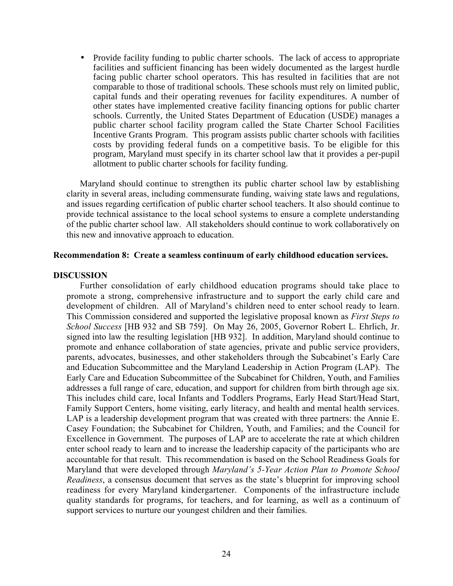• Provide facility funding to public charter schools. The lack of access to appropriate facilities and sufficient financing has been widely documented as the largest hurdle facing public charter school operators. This has resulted in facilities that are not comparable to those of traditional schools. These schools must rely on limited public, capital funds and their operating revenues for facility expenditures. A number of other states have implemented creative facility financing options for public charter schools. Currently, the United States Department of Education (USDE) manages a public charter school facility program called the State Charter School Facilities Incentive Grants Program. This program assists public charter schools with facilities costs by providing federal funds on a competitive basis. To be eligible for this program, Maryland must specify in its charter school law that it provides a per-pupil allotment to public charter schools for facility funding.

Maryland should continue to strengthen its public charter school law by establishing clarity in several areas, including commensurate funding, waiving state laws and regulations, and issues regarding certification of public charter school teachers. It also should continue to provide technical assistance to the local school systems to ensure a complete understanding of the public charter school law. All stakeholders should continue to work collaboratively on this new and innovative approach to education.

#### **Recommendation 8: Create a seamless continuum of early childhood education services.**

#### **DISCUSSION**

Further consolidation of early childhood education programs should take place to promote a strong, comprehensive infrastructure and to support the early child care and development of children. All of Maryland's children need to enter school ready to learn. This Commission considered and supported the legislative proposal known as *First Steps to School Success* [HB 932 and SB 759]. On May 26, 2005, Governor Robert L. Ehrlich, Jr. signed into law the resulting legislation [HB 932]. In addition, Maryland should continue to promote and enhance collaboration of state agencies, private and public service providers, parents, advocates, businesses, and other stakeholders through the Subcabinet's Early Care and Education Subcommittee and the Maryland Leadership in Action Program (LAP). The Early Care and Education Subcommittee of the Subcabinet for Children, Youth, and Families addresses a full range of care, education, and support for children from birth through age six. This includes child care, local Infants and Toddlers Programs, Early Head Start/Head Start, Family Support Centers, home visiting, early literacy, and health and mental health services. LAP is a leadership development program that was created with three partners: the Annie E. Casey Foundation; the Subcabinet for Children, Youth, and Families; and the Council for Excellence in Government. The purposes of LAP are to accelerate the rate at which children enter school ready to learn and to increase the leadership capacity of the participants who are accountable for that result. This recommendation is based on the School Readiness Goals for Maryland that were developed through *Marylandís 5-Year Action Plan to Promote School Readiness*, a consensus document that serves as the state's blueprint for improving school readiness for every Maryland kindergartener. Components of the infrastructure include quality standards for programs, for teachers, and for learning, as well as a continuum of support services to nurture our youngest children and their families.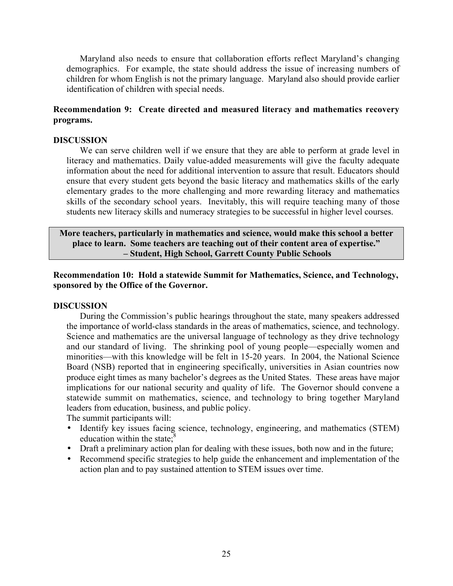Maryland also needs to ensure that collaboration efforts reflect Maryland's changing demographics. For example, the state should address the issue of increasing numbers of children for whom English is not the primary language. Maryland also should provide earlier identification of children with special needs.

# **Recommendation 9: Create directed and measured literacy and mathematics recovery programs.**

#### **DISCUSSION**

We can serve children well if we ensure that they are able to perform at grade level in literacy and mathematics. Daily value-added measurements will give the faculty adequate information about the need for additional intervention to assure that result. Educators should ensure that every student gets beyond the basic literacy and mathematics skills of the early elementary grades to the more challenging and more rewarding literacy and mathematics skills of the secondary school years. Inevitably, this will require teaching many of those students new literacy skills and numeracy strategies to be successful in higher level courses.

**More teachers, particularly in mathematics and science, would make this school a better** place to learn. Some teachers are teaching out of their content area of expertise." **- Student, High School, Garrett County Public Schools** 

**Recommendation 10: Hold a statewide Summit for Mathematics, Science, and Technology, sponsored by the Office of the Governor.**

#### **DISCUSSION**

During the Commission's public hearings throughout the state, many speakers addressed the importance of world-class standards in the areas of mathematics, science, and technology. Science and mathematics are the universal language of technology as they drive technology and our standard of living. The shrinking pool of young people—especially women and minorities—with this knowledge will be felt in 15-20 years. In 2004, the National Science Board (NSB) reported that in engineering specifically, universities in Asian countries now produce eight times as many bachelor's degrees as the United States. These areas have major implications for our national security and quality of life. The Governor should convene a statewide summit on mathematics, science, and technology to bring together Maryland leaders from education, business, and public policy.

The summit participants will:

- Identify key issues facing science, technology, engineering, and mathematics (STEM) education within the state; $\delta$
- Draft a preliminary action plan for dealing with these issues, both now and in the future;
- Recommend specific strategies to help guide the enhancement and implementation of the action plan and to pay sustained attention to STEM issues over time.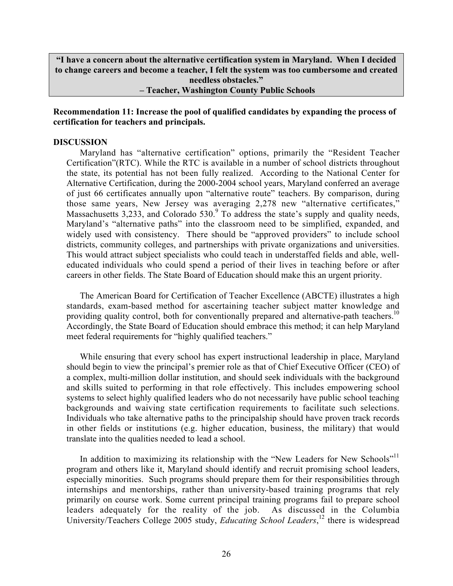**ìI have a concern about the alternative certification system in Maryland. When I decided to change careers and become a teacher, I felt the system was too cumbersome and created needless obstacles.î**

**-Teacher, Washington County Public Schools** 

# **Recommendation 11: Increase the pool of qualified candidates by expanding the process of certification for teachers and principals.**

#### **DISCUSSION**

Maryland has "alternative certification" options, primarily the "Resident Teacher Certification"(RTC). While the RTC is available in a number of school districts throughout the state, its potential has not been fully realized. According to the National Center for Alternative Certification, during the 2000-2004 school years, Maryland conferred an average of just 66 certificates annually upon "alternative route" teachers. By comparison, during those same years, New Jersey was averaging 2,278 new "alternative certificates," Massachusetts 3,233, and Colorado  $530<sup>9</sup>$  To address the state's supply and quality needs, Maryland's "alternative paths" into the classroom need to be simplified, expanded, and widely used with consistency. There should be "approved providers" to include school districts, community colleges, and partnerships with private organizations and universities. This would attract subject specialists who could teach in understaffed fields and able, welleducated individuals who could spend a period of their lives in teaching before or after careers in other fields. The State Board of Education should make this an urgent priority.

The American Board for Certification of Teacher Excellence (ABCTE) illustrates a high standards, exam-based method for ascertaining teacher subject matter knowledge and providing quality control, both for conventionally prepared and alternative-path teachers.<sup>10</sup> Accordingly, the State Board of Education should embrace this method; it can help Maryland meet federal requirements for "highly qualified teachers."

While ensuring that every school has expert instructional leadership in place, Maryland should begin to view the principal's premier role as that of Chief Executive Officer (CEO) of a complex, multi-million dollar institution, and should seek individuals with the background and skills suited to performing in that role effectively. This includes empowering school systems to select highly qualified leaders who do not necessarily have public school teaching backgrounds and waiving state certification requirements to facilitate such selections. Individuals who take alternative paths to the principalship should have proven track records in other fields or institutions (e.g. higher education, business, the military) that would translate into the qualities needed to lead a school.

In addition to maximizing its relationship with the "New Leaders for New Schools"<sup>11</sup> program and others like it, Maryland should identify and recruit promising school leaders, especially minorities. Such programs should prepare them for their responsibilities through internships and mentorships, rather than university-based training programs that rely primarily on course work. Some current principal training programs fail to prepare school leaders adequately for the reality of the job. As discussed in the Columbia University/Teachers College 2005 study, *Educating School Leaders*, <sup>12</sup> there is widespread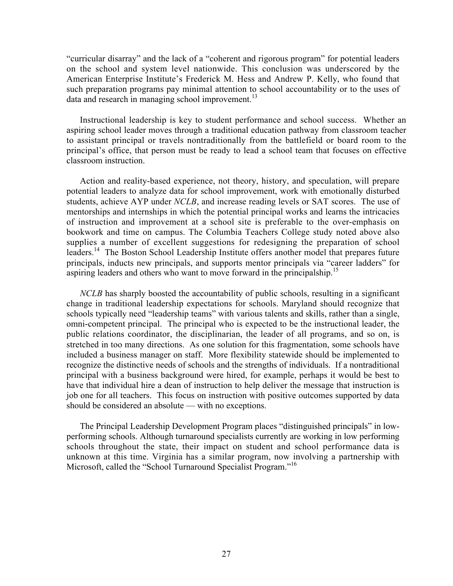"curricular disarray" and the lack of a "coherent and rigorous program" for potential leaders on the school and system level nationwide. This conclusion was underscored by the American Enterprise Institute's Frederick M. Hess and Andrew P. Kelly, who found that such preparation programs pay minimal attention to school accountability or to the uses of data and research in managing school improvement.<sup>13</sup>

Instructional leadership is key to student performance and school success. Whether an aspiring school leader moves through a traditional education pathway from classroom teacher to assistant principal or travels nontraditionally from the battlefield or board room to the principalís office, that person must be ready to lead a school team that focuses on effective classroom instruction.

Action and reality-based experience, not theory, history, and speculation, will prepare potential leaders to analyze data for school improvement, work with emotionally disturbed students, achieve AYP under *NCLB*, and increase reading levels or SAT scores. The use of mentorships and internships in which the potential principal works and learns the intricacies of instruction and improvement at a school site is preferable to the over-emphasis on bookwork and time on campus. The Columbia Teachers College study noted above also supplies a number of excellent suggestions for redesigning the preparation of school leaders.<sup>14</sup> The Boston School Leadership Institute offers another model that prepares future principals, inducts new principals, and supports mentor principals via "career ladders" for aspiring leaders and others who want to move forward in the principalship.<sup>15</sup>

*NCLB* has sharply boosted the accountability of public schools, resulting in a significant change in traditional leadership expectations for schools. Maryland should recognize that schools typically need "leadership teams" with various talents and skills, rather than a single, omni-competent principal. The principal who is expected to be the instructional leader, the public relations coordinator, the disciplinarian, the leader of all programs, and so on, is stretched in too many directions. As one solution for this fragmentation, some schools have included a business manager on staff. More flexibility statewide should be implemented to recognize the distinctive needs of schools and the strengths of individuals. If a nontraditional principal with a business background were hired, for example, perhaps it would be best to have that individual hire a dean of instruction to help deliver the message that instruction is job one for all teachers. This focus on instruction with positive outcomes supported by data should be considered an absolute  $-\text{ with no exceptions.}$ 

The Principal Leadership Development Program places "distinguished principals" in lowperforming schools. Although turnaround specialists currently are working in low performing schools throughout the state, their impact on student and school performance data is unknown at this time. Virginia has a similar program, now involving a partnership with Microsoft, called the "School Turnaround Specialist Program."<sup>16</sup>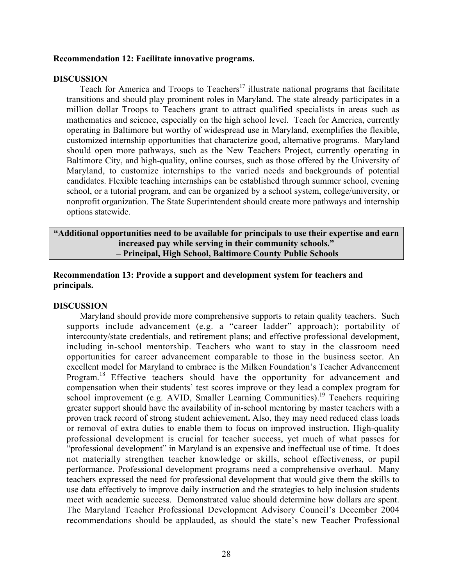#### **Recommendation 12: Facilitate innovative programs.**

#### **DISCUSSION**

Teach for America and Troops to Teachers<sup>17</sup> illustrate national programs that facilitate transitions and should play prominent roles in Maryland. The state already participates in a million dollar Troops to Teachers grant to attract qualified specialists in areas such as mathematics and science, especially on the high school level. Teach for America, currently operating in Baltimore but worthy of widespread use in Maryland, exemplifies the flexible, customized internship opportunities that characterize good, alternative programs. Maryland should open more pathways, such as the New Teachers Project, currently operating in Baltimore City, and high-quality, online courses, such as those offered by the University of Maryland, to customize internships to the varied needs and backgrounds of potential candidates. Flexible teaching internships can be established through summer school, evening school, or a tutorial program, and can be organized by a school system, college/university, or nonprofit organization. The State Superintendent should create more pathways and internship options statewide.

**ìAdditional opportunities need to be available for principals to use their expertise and earn** increased pay while serving in their community schools.<sup>"</sup>  **ñ Principal, High School, Baltimore County Public Schools**

# **Recommendation 13: Provide a support and development system for teachers and principals.**

#### **DISCUSSION**

Maryland should provide more comprehensive supports to retain quality teachers. Such supports include advancement (e.g. a "career ladder" approach); portability of intercounty/state credentials, and retirement plans; and effective professional development, including in-school mentorship. Teachers who want to stay in the classroom need opportunities for career advancement comparable to those in the business sector. An excellent model for Maryland to embrace is the Milken Foundation's Teacher Advancement Program.<sup>18</sup> Effective teachers should have the opportunity for advancement and compensation when their students' test scores improve or they lead a complex program for school improvement (e.g. AVID, Smaller Learning Communities).<sup>19</sup> Teachers requiring greater support should have the availability of in-school mentoring by master teachers with a proven track record of strong student achievement**.** Also, they may need reduced class loads or removal of extra duties to enable them to focus on improved instruction. High-quality professional development is crucial for teacher success, yet much of what passes for "professional development" in Maryland is an expensive and ineffectual use of time. It does not materially strengthen teacher knowledge or skills, school effectiveness, or pupil performance. Professional development programs need a comprehensive overhaul. Many teachers expressed the need for professional development that would give them the skills to use data effectively to improve daily instruction and the strategies to help inclusion students meet with academic success. Demonstrated value should determine how dollars are spent. The Maryland Teacher Professional Development Advisory Council's December 2004 recommendations should be applauded, as should the state's new Teacher Professional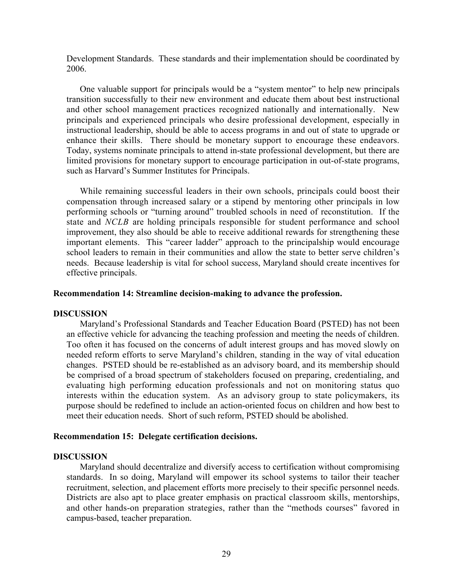Development Standards. These standards and their implementation should be coordinated by 2006.

One valuable support for principals would be a "system mentor" to help new principals transition successfully to their new environment and educate them about best instructional and other school management practices recognized nationally and internationally. New principals and experienced principals who desire professional development, especially in instructional leadership, should be able to access programs in and out of state to upgrade or enhance their skills. There should be monetary support to encourage these endeavors. Today, systems nominate principals to attend in-state professional development, but there are limited provisions for monetary support to encourage participation in out-of-state programs, such as Harvard's Summer Institutes for Principals.

While remaining successful leaders in their own schools, principals could boost their compensation through increased salary or a stipend by mentoring other principals in low performing schools or "turning around" troubled schools in need of reconstitution. If the state and *NCLB* are holding principals responsible for student performance and school improvement, they also should be able to receive additional rewards for strengthening these important elements. This "career ladder" approach to the principalship would encourage school leaders to remain in their communities and allow the state to better serve children's needs. Because leadership is vital for school success, Maryland should create incentives for effective principals.

#### **Recommendation 14: Streamline decision-making to advance the profession.**

#### **DISCUSSION**

Maryland's Professional Standards and Teacher Education Board (PSTED) has not been an effective vehicle for advancing the teaching profession and meeting the needs of children. Too often it has focused on the concerns of adult interest groups and has moved slowly on needed reform efforts to serve Maryland's children, standing in the way of vital education changes. PSTED should be re-established as an advisory board, and its membership should be comprised of a broad spectrum of stakeholders focused on preparing, credentialing, and evaluating high performing education professionals and not on monitoring status quo interests within the education system. As an advisory group to state policymakers, its purpose should be redefined to include an action-oriented focus on children and how best to meet their education needs. Short of such reform, PSTED should be abolished.

#### **Recommendation 15: Delegate certification decisions.**

#### **DISCUSSION**

Maryland should decentralize and diversify access to certification without compromising standards. In so doing, Maryland will empower its school systems to tailor their teacher recruitment, selection, and placement efforts more precisely to their specific personnel needs. Districts are also apt to place greater emphasis on practical classroom skills, mentorships, and other hands-on preparation strategies, rather than the "methods courses" favored in campus-based, teacher preparation.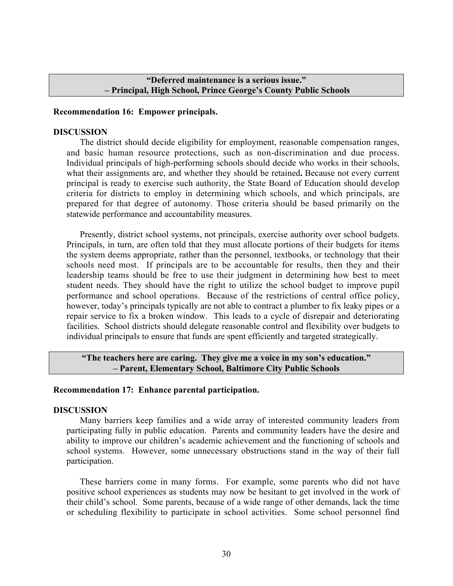# **ìDeferred maintenance is a serious issue.î - Principal, High School, Prince George's County Public Schools**

#### **Recommendation 16: Empower principals.**

#### **DISCUSSION**

The district should decide eligibility for employment, reasonable compensation ranges, and basic human resource protections, such as non-discrimination and due process. Individual principals of high-performing schools should decide who works in their schools, what their assignments are, and whether they should be retained**.** Because not every current principal is ready to exercise such authority, the State Board of Education should develop criteria for districts to employ in determining which schools, and which principals, are prepared for that degree of autonomy. Those criteria should be based primarily on the statewide performance and accountability measures.

Presently, district school systems, not principals, exercise authority over school budgets. Principals, in turn, are often told that they must allocate portions of their budgets for items the system deems appropriate, rather than the personnel, textbooks, or technology that their schools need most. If principals are to be accountable for results, then they and their leadership teams should be free to use their judgment in determining how best to meet student needs. They should have the right to utilize the school budget to improve pupil performance and school operations. Because of the restrictions of central office policy, however, today's principals typically are not able to contract a plumber to fix leaky pipes or a repair service to fix a broken window. This leads to a cycle of disrepair and deteriorating facilities. School districts should delegate reasonable control and flexibility over budgets to individual principals to ensure that funds are spent efficiently and targeted strategically.

# **The teachers here are caring. They give me a voice in my son's education." ñ Parent, Elementary School, Baltimore City Public Schools**

#### **Recommendation 17: Enhance parental participation.**

#### **DISCUSSION**

Many barriers keep families and a wide array of interested community leaders from participating fully in public education. Parents and community leaders have the desire and ability to improve our children's academic achievement and the functioning of schools and school systems. However, some unnecessary obstructions stand in the way of their full participation.

These barriers come in many forms. For example, some parents who did not have positive school experiences as students may now be hesitant to get involved in the work of their child's school. Some parents, because of a wide range of other demands, lack the time or scheduling flexibility to participate in school activities. Some school personnel find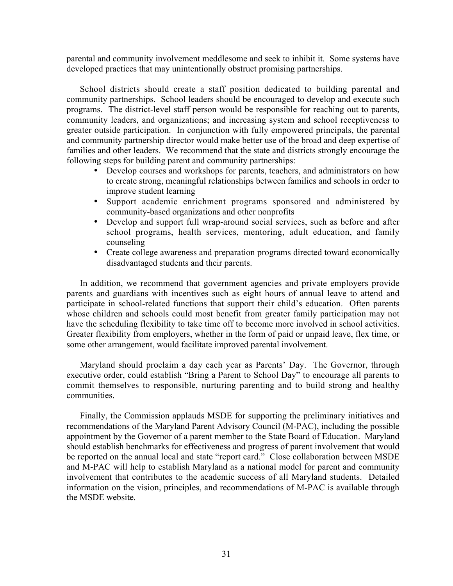parental and community involvement meddlesome and seek to inhibit it. Some systems have developed practices that may unintentionally obstruct promising partnerships.

School districts should create a staff position dedicated to building parental and community partnerships. School leaders should be encouraged to develop and execute such programs. The district-level staff person would be responsible for reaching out to parents, community leaders, and organizations; and increasing system and school receptiveness to greater outside participation. In conjunction with fully empowered principals, the parental and community partnership director would make better use of the broad and deep expertise of families and other leaders. We recommend that the state and districts strongly encourage the following steps for building parent and community partnerships:

- Develop courses and workshops for parents, teachers, and administrators on how to create strong, meaningful relationships between families and schools in order to improve student learning
- Support academic enrichment programs sponsored and administered by community-based organizations and other nonprofits
- Develop and support full wrap-around social services, such as before and after school programs, health services, mentoring, adult education, and family counseling
- Create college awareness and preparation programs directed toward economically disadvantaged students and their parents.

In addition, we recommend that government agencies and private employers provide parents and guardians with incentives such as eight hours of annual leave to attend and participate in school-related functions that support their child's education. Often parents whose children and schools could most benefit from greater family participation may not have the scheduling flexibility to take time off to become more involved in school activities. Greater flexibility from employers, whether in the form of paid or unpaid leave, flex time, or some other arrangement, would facilitate improved parental involvement.

Maryland should proclaim a day each year as Parents' Day. The Governor, through executive order, could establish "Bring a Parent to School Day" to encourage all parents to commit themselves to responsible, nurturing parenting and to build strong and healthy communities.

Finally, the Commission applauds MSDE for supporting the preliminary initiatives and recommendations of the Maryland Parent Advisory Council (M-PAC), including the possible appointment by the Governor of a parent member to the State Board of Education. Maryland should establish benchmarks for effectiveness and progress of parent involvement that would be reported on the annual local and state "report card." Close collaboration between MSDE and M-PAC will help to establish Maryland as a national model for parent and community involvement that contributes to the academic success of all Maryland students. Detailed information on the vision, principles, and recommendations of M-PAC is available through the MSDE website.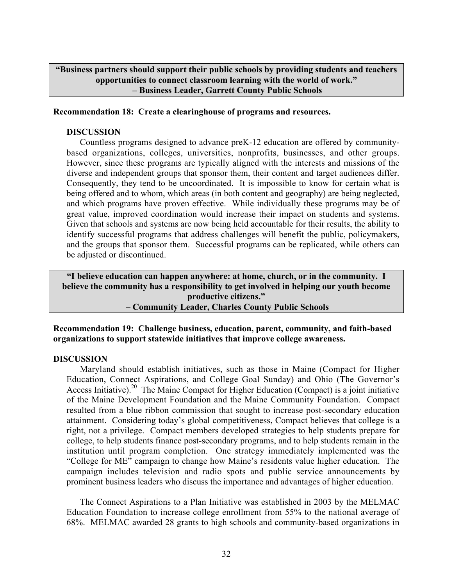**ìBusiness partners should support their public schools by providing students and teachers opportunities to connect classroom learning with the world of work.î - Business Leader, Garrett County Public Schools** 

#### **Recommendation 18: Create a clearinghouse of programs and resources.**

#### **DISCUSSION**

Countless programs designed to advance preK-12 education are offered by communitybased organizations, colleges, universities, nonprofits, businesses, and other groups. However, since these programs are typically aligned with the interests and missions of the diverse and independent groups that sponsor them, their content and target audiences differ. Consequently, they tend to be uncoordinated. It is impossible to know for certain what is being offered and to whom, which areas (in both content and geography) are being neglected, and which programs have proven effective. While individually these programs may be of great value, improved coordination would increase their impact on students and systems. Given that schools and systems are now being held accountable for their results, the ability to identify successful programs that address challenges will benefit the public, policymakers, and the groups that sponsor them. Successful programs can be replicated, while others can be adjusted or discontinued.

**ìI believe education can happen anywhere: at home, church, or in the community. I believe the community has a responsibility to get involved in helping our youth become** productive citizens." **- Community Leader, Charles County Public Schools** 

**Recommendation 19: Challenge business, education, parent, community, and faith-based organizations to support statewide initiatives that improve college awareness.**

## **DISCUSSION**

Maryland should establish initiatives, such as those in Maine (Compact for Higher Education, Connect Aspirations, and College Goal Sunday) and Ohio (The Governor's Access Initiative).<sup>20</sup> The Maine Compact for Higher Education (Compact) is a joint initiative of the Maine Development Foundation and the Maine Community Foundation. Compact resulted from a blue ribbon commission that sought to increase post-secondary education attainment. Considering today's global competitiveness, Compact believes that college is a right, not a privilege. Compact members developed strategies to help students prepare for college, to help students finance post-secondary programs, and to help students remain in the institution until program completion. One strategy immediately implemented was the "College for ME" campaign to change how Maine's residents value higher education. The campaign includes television and radio spots and public service announcements by prominent business leaders who discuss the importance and advantages of higher education.

The Connect Aspirations to a Plan Initiative was established in 2003 by the MELMAC Education Foundation to increase college enrollment from 55% to the national average of 68%. MELMAC awarded 28 grants to high schools and community-based organizations in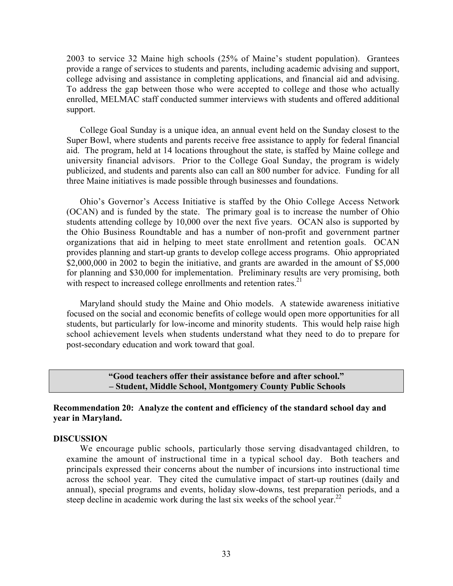$2003$  to service 32 Maine high schools  $(25\%$  of Maine's student population). Grantees provide a range of services to students and parents, including academic advising and support, college advising and assistance in completing applications, and financial aid and advising. To address the gap between those who were accepted to college and those who actually enrolled, MELMAC staff conducted summer interviews with students and offered additional support.

College Goal Sunday is a unique idea, an annual event held on the Sunday closest to the Super Bowl, where students and parents receive free assistance to apply for federal financial aid. The program, held at 14 locations throughout the state, is staffed by Maine college and university financial advisors. Prior to the College Goal Sunday, the program is widely publicized, and students and parents also can call an 800 number for advice. Funding for all three Maine initiatives is made possible through businesses and foundations.

Ohioís Governorís Access Initiative is staffed by the Ohio College Access Network (OCAN) and is funded by the state. The primary goal is to increase the number of Ohio students attending college by 10,000 over the next five years. OCAN also is supported by the Ohio Business Roundtable and has a number of non-profit and government partner organizations that aid in helping to meet state enrollment and retention goals. OCAN provides planning and start-up grants to develop college access programs. Ohio appropriated \$2,000,000 in 2002 to begin the initiative, and grants are awarded in the amount of \$5,000 for planning and \$30,000 for implementation. Preliminary results are very promising, both with respect to increased college enrollments and retention rates.<sup>21</sup>

Maryland should study the Maine and Ohio models. A statewide awareness initiative focused on the social and economic benefits of college would open more opportunities for all students, but particularly for low-income and minority students. This would help raise high school achievement levels when students understand what they need to do to prepare for post-secondary education and work toward that goal.

#### **"Good teachers offer their assistance before and after school."**  $-$  Student, Middle School, Montgomery County Public Schools

**Recommendation 20: Analyze the content and efficiency of the standard school day and year in Maryland.**

#### **DISCUSSION**

We encourage public schools, particularly those serving disadvantaged children, to examine the amount of instructional time in a typical school day. Both teachers and principals expressed their concerns about the number of incursions into instructional time across the school year. They cited the cumulative impact of start-up routines (daily and annual), special programs and events, holiday slow-downs, test preparation periods, and a steep decline in academic work during the last six weeks of the school year.<sup>22</sup>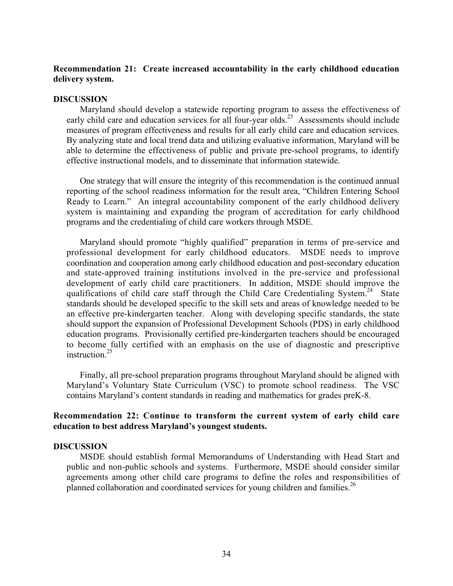# **Recommendation 21: Create increased accountability in the early childhood education delivery system.**

#### **DISCUSSION**

Maryland should develop a statewide reporting program to assess the effectiveness of early child care and education services for all four-year olds.<sup>23</sup> Assessments should include measures of program effectiveness and results for all early child care and education services. By analyzing state and local trend data and utilizing evaluative information, Maryland will be able to determine the effectiveness of public and private pre-school programs, to identify effective instructional models, and to disseminate that information statewide.

One strategy that will ensure the integrity of this recommendation is the continued annual reporting of the school readiness information for the result area, "Children Entering School Ready to Learn." An integral accountability component of the early childhood delivery system is maintaining and expanding the program of accreditation for early childhood programs and the credentialing of child care workers through MSDE.

Maryland should promote "highly qualified" preparation in terms of pre-service and professional development for early childhood educators. MSDE needs to improve coordination and cooperation among early childhood education and post-secondary education and state-approved training institutions involved in the pre-service and professional development of early child care practitioners. In addition, MSDE should improve the qualifications of child care staff through the Child Care Credentialing System.<sup>24</sup> State standards should be developed specific to the skill sets and areas of knowledge needed to be an effective pre-kindergarten teacher. Along with developing specific standards, the state should support the expansion of Professional Development Schools (PDS) in early childhood education programs. Provisionally certified pre-kindergarten teachers should be encouraged to become fully certified with an emphasis on the use of diagnostic and prescriptive instruction  $25$ 

Finally, all pre-school preparation programs throughout Maryland should be aligned with Maryland's Voluntary State Curriculum (VSC) to promote school readiness. The VSC contains Maryland's content standards in reading and mathematics for grades preK-8.

# **Recommendation 22: Continue to transform the current system of early child care** education to best address Maryland's youngest students.

#### **DISCUSSION**

MSDE should establish formal Memorandums of Understanding with Head Start and public and non-public schools and systems. Furthermore, MSDE should consider similar agreements among other child care programs to define the roles and responsibilities of planned collaboration and coordinated services for young children and families.<sup>26</sup>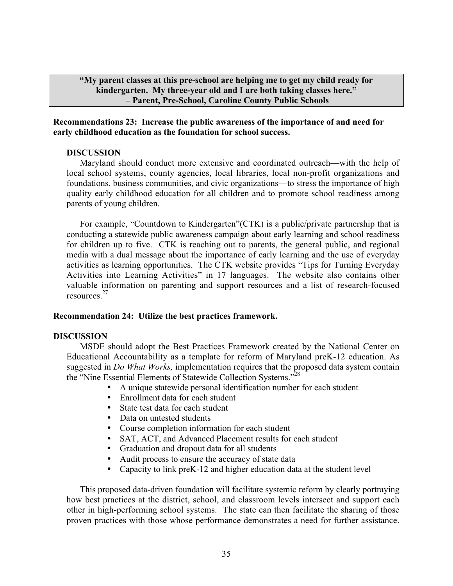**ìMy parent classes at this pre-school are helping me to get my child ready for** kindergarten. My three-year old and I are both taking classes here." **- Parent, Pre-School, Caroline County Public Schools** 

**Recommendations 23: Increase the public awareness of the importance of and need for early childhood education as the foundation for school success.**

#### **DISCUSSION**

Maryland should conduct more extensive and coordinated outreach—with the help of local school systems, county agencies, local libraries, local non-profit organizations and foundations, business communities, and civic organizations—to stress the importance of high quality early childhood education for all children and to promote school readiness among parents of young children.

For example, "Countdown to Kindergarten" (CTK) is a public/private partnership that is conducting a statewide public awareness campaign about early learning and school readiness for children up to five. CTK is reaching out to parents, the general public, and regional media with a dual message about the importance of early learning and the use of everyday activities as learning opportunities. The CTK website provides "Tips for Turning Everyday Activities into Learning Activities" in 17 languages. The website also contains other valuable information on parenting and support resources and a list of research-focused resources.27

#### **Recommendation 24: Utilize the best practices framework.**

#### **DISCUSSION**

MSDE should adopt the Best Practices Framework created by the National Center on Educational Accountability as a template for reform of Maryland preK-12 education. As suggested in *Do What Works,* implementation requires that the proposed data system contain the "Nine Essential Elements of Statewide Collection Systems."<sup>28</sup>

- A unique statewide personal identification number for each student
- Enrollment data for each student
- State test data for each student
- Data on untested students
- Course completion information for each student
- SAT, ACT, and Advanced Placement results for each student
- Graduation and dropout data for all students
- Audit process to ensure the accuracy of state data
- Capacity to link preK-12 and higher education data at the student level

This proposed data-driven foundation will facilitate systemic reform by clearly portraying how best practices at the district, school, and classroom levels intersect and support each other in high-performing school systems. The state can then facilitate the sharing of those proven practices with those whose performance demonstrates a need for further assistance.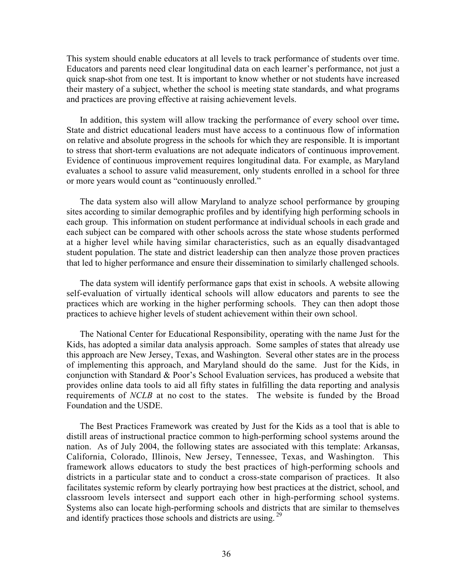This system should enable educators at all levels to track performance of students over time. Educators and parents need clear longitudinal data on each learner's performance, not just a quick snap-shot from one test. It is important to know whether or not students have increased their mastery of a subject, whether the school is meeting state standards, and what programs and practices are proving effective at raising achievement levels.

In addition, this system will allow tracking the performance of every school over time**.** State and district educational leaders must have access to a continuous flow of information on relative and absolute progress in the schools for which they are responsible. It is important to stress that short-term evaluations are not adequate indicators of continuous improvement. Evidence of continuous improvement requires longitudinal data. For example, as Maryland evaluates a school to assure valid measurement, only students enrolled in a school for three or more years would count as "continuously enrolled."

The data system also will allow Maryland to analyze school performance by grouping sites according to similar demographic profiles and by identifying high performing schools in each group.This information on student performance at individual schools in each grade and each subject can be compared with other schools across the state whose students performed at a higher level while having similar characteristics, such as an equally disadvantaged student population. The state and district leadership can then analyze those proven practices that led to higher performance and ensure their dissemination to similarly challenged schools.

The data system will identify performance gaps that exist in schools. A website allowing self-evaluation of virtually identical schools will allow educators and parents to see the practices which are working in the higher performing schools. They can then adopt those practices to achieve higher levels of student achievement within their own school.

The National Center for Educational Responsibility, operating with the name Just for the Kids, has adopted a similar data analysis approach. Some samples of states that already use this approach are New Jersey, Texas, and Washington. Several other states are in the process of implementing this approach, and Maryland should do the same. Just for the Kids, in conjunction with Standard  $& Poor's School Evaluation services, has produced a website that$ provides online data tools to aid all fifty states in fulfilling the data reporting and analysis requirements of *NCLB* at no cost to the states. The website is funded by the Broad Foundation and the USDE.

The Best Practices Framework was created by Just for the Kids as a tool that is able to distill areas of instructional practice common to high-performing school systems around the nation. As of July 2004, the following states are associated with this template: Arkansas, California, Colorado, Illinois, New Jersey, Tennessee, Texas, and Washington. This framework allows educators to study the best practices of high-performing schools and districts in a particular state and to conduct a cross-state comparison of practices. It also facilitates systemic reform by clearly portraying how best practices at the district, school, and classroom levels intersect and support each other in high-performing school systems. Systems also can locate high-performing schools and districts that are similar to themselves and identify practices those schools and districts are using.<sup>29</sup>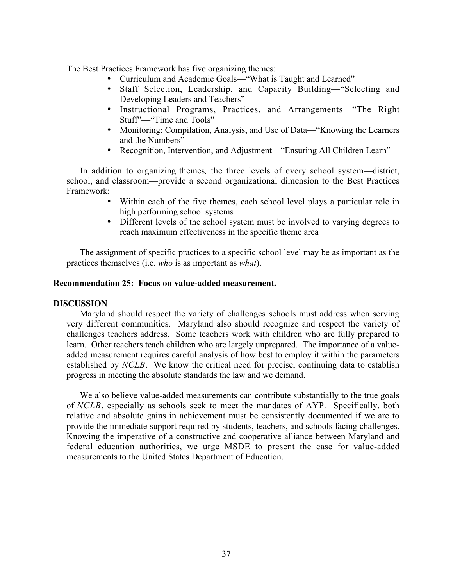The Best Practices Framework has five organizing themes:

- Curriculum and Academic Goals—"What is Taught and Learned"
- Staff Selection, Leadership, and Capacity Building—"Selecting and Developing Leaders and Teachers"
- Instructional Programs, Practices, and Arrangements—"The Right Stuff"—"Time and Tools"
- Monitoring: Compilation, Analysis, and Use of Data—"Knowing the Learners and the Numbers"
- Recognition, Intervention, and Adjustment—"Ensuring All Children Learn"

In addition to organizing themes, the three levels of every school system—district, school, and classroom—provide a second organizational dimension to the Best Practices Framework:

- Within each of the five themes, each school level plays a particular role in high performing school systems
- Different levels of the school system must be involved to varying degrees to reach maximum effectiveness in the specific theme area

The assignment of specific practices to a specific school level may be as important as the practices themselves (i.e. *who* is as important as *what*).

#### **Recommendation 25: Focus on value-added measurement.**

#### **DISCUSSION**

Maryland should respect the variety of challenges schools must address when serving very different communities. Maryland also should recognize and respect the variety of challenges teachers address. Some teachers work with children who are fully prepared to learn. Other teachers teach children who are largely unprepared. The importance of a valueadded measurement requires careful analysis of how best to employ it within the parameters established by *NCLB*. We know the critical need for precise, continuing data to establish progress in meeting the absolute standards the law and we demand.

We also believe value-added measurements can contribute substantially to the true goals of *NCLB*, especially as schools seek to meet the mandates of AYP. Specifically, both relative and absolute gains in achievement must be consistently documented if we are to provide the immediate support required by students, teachers, and schools facing challenges. Knowing the imperative of a constructive and cooperative alliance between Maryland and federal education authorities, we urge MSDE to present the case for value-added measurements to the United States Department of Education.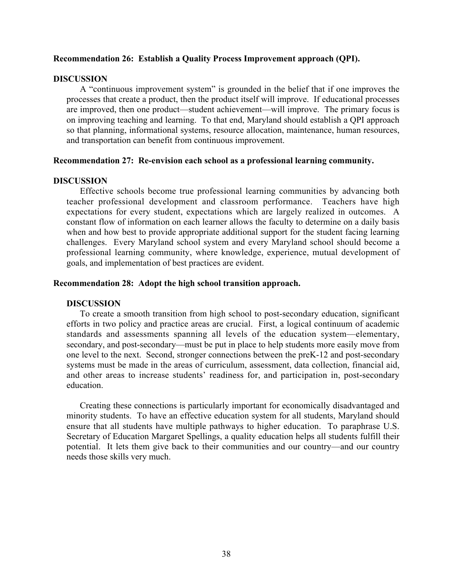#### **Recommendation 26: Establish a Quality Process Improvement approach (QPI).**

#### **DISCUSSION**

A "continuous improvement system" is grounded in the belief that if one improves the processes that create a product, then the product itself will improve. If educational processes are improved, then one product—student achievement—will improve. The primary focus is on improving teaching and learning. To that end, Maryland should establish a QPI approach so that planning, informational systems, resource allocation, maintenance, human resources, and transportation can benefit from continuous improvement.

#### **Recommendation 27: Re-envision each school as a professional learning community.**

#### **DISCUSSION**

Effective schools become true professional learning communities by advancing both teacher professional development and classroom performance. Teachers have high expectations for every student, expectations which are largely realized in outcomes. A constant flow of information on each learner allows the faculty to determine on a daily basis when and how best to provide appropriate additional support for the student facing learning challenges. Every Maryland school system and every Maryland school should become a professional learning community, where knowledge, experience, mutual development of goals, and implementation of best practices are evident.

#### **Recommendation 28: Adopt the high school transition approach.**

#### **DISCUSSION**

To create a smooth transition from high school to post-secondary education, significant efforts in two policy and practice areas are crucial. First, a logical continuum of academic standards and assessments spanning all levels of the education system—elementary, secondary, and post-secondary—must be put in place to help students more easily move from one level to the next. Second, stronger connections between the preK-12 and post-secondary systems must be made in the areas of curriculum, assessment, data collection, financial aid, and other areas to increase students' readiness for, and participation in, post-secondary education.

Creating these connections is particularly important for economically disadvantaged and minority students. To have an effective education system for all students, Maryland should ensure that all students have multiple pathways to higher education. To paraphrase U.S. Secretary of Education Margaret Spellings, a quality education helps all students fulfill their potential. It lets them give back to their communities and our country—and our country needs those skills very much.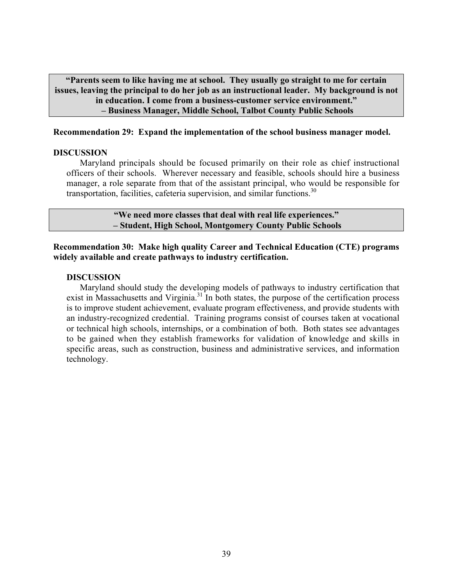**ìParents seem to like having me at school. They usually go straight to me for certain issues, leaving the principal to do her job as an instructional leader. My background is not** in education. I come from a business-customer service environment." **- Business Manager, Middle School, Talbot County Public Schools** 

#### **Recommendation 29: Expand the implementation of the school business manager model.**

#### **DISCUSSION**

Maryland principals should be focused primarily on their role as chief instructional officers of their schools. Wherever necessary and feasible, schools should hire a business manager, a role separate from that of the assistant principal, who would be responsible for transportation, facilities, cafeteria supervision, and similar functions.<sup>30</sup>

> **<sup>4</sup>We need more classes that deal with real life experiences.<sup>?</sup> - Student, High School, Montgomery County Public Schools**

**Recommendation 30: Make high quality Career and Technical Education (CTE) programs widely available and create pathways to industry certification.**

#### **DISCUSSION**

Maryland should study the developing models of pathways to industry certification that exist in Massachusetts and Virginia.<sup>31</sup> In both states, the purpose of the certification process is to improve student achievement, evaluate program effectiveness, and provide students with an industry-recognized credential. Training programs consist of courses taken at vocational or technical high schools, internships, or a combination of both. Both states see advantages to be gained when they establish frameworks for validation of knowledge and skills in specific areas, such as construction, business and administrative services, and information technology.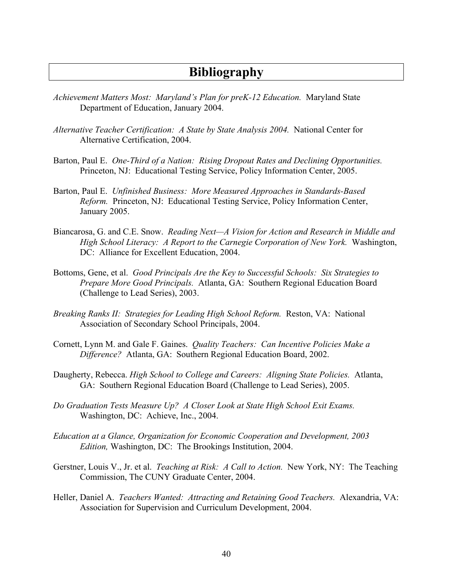# **Bibliography**

- *Achievement Matters Most: Marylandís Plan for preK-12 Education.* Maryland State Department of Education, January 2004.
- *Alternative Teacher Certification: A State by State Analysis 2004.* National Center for Alternative Certification, 2004.
- Barton, Paul E. *One-Third of a Nation: Rising Dropout Rates and Declining Opportunities.* Princeton, NJ: Educational Testing Service, Policy Information Center, 2005.
- Barton, Paul E. *Unfinished Business: More Measured Approaches in Standards-Based Reform.* Princeton, NJ: Educational Testing Service, Policy Information Center, January 2005.
- Biancarosa, G. and C.E. Snow. *Reading Next—A Vision for Action and Research in Middle and High School Literacy: A Report to the Carnegie Corporation of New York.* Washington, DC: Alliance for Excellent Education, 2004.
- Bottoms, Gene, et al. *Good Principals Are the Key to Successful Schools: Six Strategies to Prepare More Good Principals.* Atlanta, GA: Southern Regional Education Board (Challenge to Lead Series), 2003.
- *Breaking Ranks II: Strategies for Leading High School Reform.* Reston, VA: National Association of Secondary School Principals, 2004.
- Cornett, Lynn M. and Gale F. Gaines. *Quality Teachers: Can Incentive Policies Make a Difference?* Atlanta, GA: Southern Regional Education Board, 2002.
- Daugherty, Rebecca. *High School to College and Careers: Aligning State Policies.* Atlanta, GA: Southern Regional Education Board (Challenge to Lead Series), 2005.
- *Do Graduation Tests Measure Up? A Closer Look at State High School Exit Exams.* Washington, DC: Achieve, Inc., 2004.
- *Education at a Glance, Organization for Economic Cooperation and Development, 2003 Edition,* Washington, DC: The Brookings Institution, 2004.
- Gerstner, Louis V., Jr. et al. *Teaching at Risk: A Call to Action.* New York, NY: The Teaching Commission, The CUNY Graduate Center, 2004.
- Heller, Daniel A. *Teachers Wanted: Attracting and Retaining Good Teachers.* Alexandria, VA: Association for Supervision and Curriculum Development, 2004.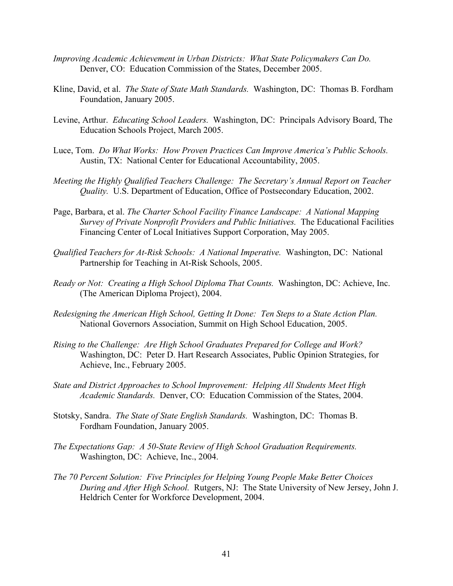- *Improving Academic Achievement in Urban Districts: What State Policymakers Can Do.* Denver, CO: Education Commission of the States, December 2005.
- Kline, David, et al. *The State of State Math Standards.* Washington, DC: Thomas B. Fordham Foundation, January 2005.
- Levine, Arthur. *Educating School Leaders.* Washington, DC: Principals Advisory Board, The Education Schools Project, March 2005.
- Luce, Tom. *Do What Works: How Proven Practices Can Improve America's Public Schools.* Austin, TX: National Center for Educational Accountability, 2005.
- *Meeting the Highly Qualified Teachers Challenge: The Secretary's Annual Report on Teacher Quality.* U.S. Department of Education, Office of Postsecondary Education, 2002.
- Page, Barbara, et al. *The Charter School Facility Finance Landscape: A National Mapping Survey of Private Nonprofit Providers and Public Initiatives.* The Educational Facilities Financing Center of Local Initiatives Support Corporation, May 2005.
- *Qualified Teachers for At-Risk Schools: A National Imperative.* Washington, DC: National Partnership for Teaching in At-Risk Schools, 2005.
- *Ready or Not: Creating a High School Diploma That Counts.* Washington, DC: Achieve, Inc. (The American Diploma Project), 2004.
- *Redesigning the American High School, Getting It Done: Ten Steps to a State Action Plan.* National Governors Association, Summit on High School Education, 2005.
- *Rising to the Challenge: Are High School Graduates Prepared for College and Work?* Washington, DC: Peter D. Hart Research Associates, Public Opinion Strategies, for Achieve, Inc., February 2005.
- *State and District Approaches to School Improvement: Helping All Students Meet High Academic Standards.* Denver, CO: Education Commission of the States, 2004.
- Stotsky, Sandra. *The State of State English Standards.* Washington, DC: Thomas B. Fordham Foundation, January 2005.
- *The Expectations Gap: A 50-State Review of High School Graduation Requirements.* Washington, DC: Achieve, Inc., 2004.
- *The 70 Percent Solution: Five Principles for Helping Young People Make Better Choices During and After High School.* Rutgers, NJ: The State University of New Jersey, John J. Heldrich Center for Workforce Development, 2004.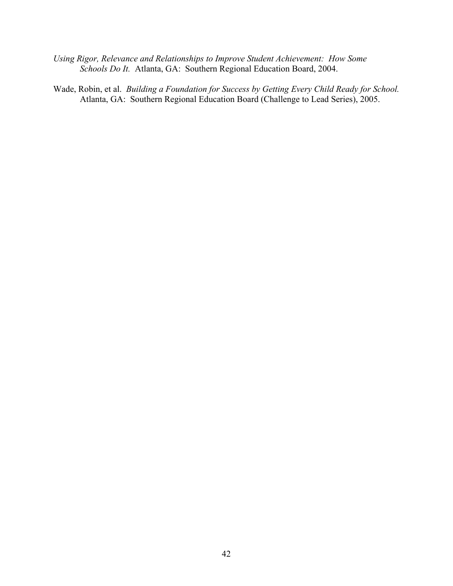- *Using Rigor, Relevance and Relationships to Improve Student Achievement: How Some Schools Do It.* Atlanta, GA: Southern Regional Education Board, 2004.
- Wade, Robin, et al. *Building a Foundation for Success by Getting Every Child Ready for School.* Atlanta, GA: Southern Regional Education Board (Challenge to Lead Series), 2005.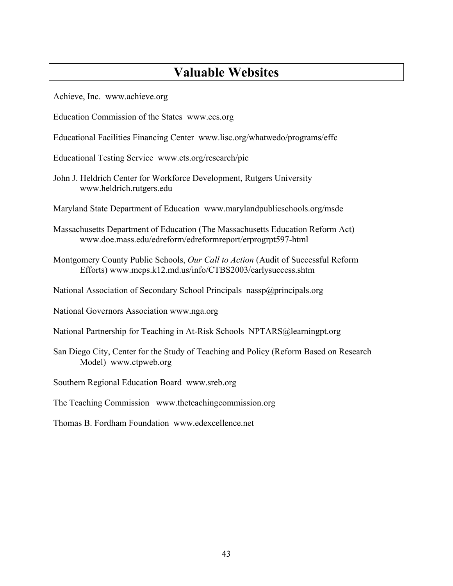# **Valuable Websites**

Achieve, Inc. www.achieve.org

- Education Commission of the States www.ecs.org
- Educational Facilities Financing Center www.lisc.org/whatwedo/programs/effc

Educational Testing Service www.ets.org/research/pic

- John J. Heldrich Center for Workforce Development, Rutgers University www.heldrich.rutgers.edu
- Maryland State Department of Education www.marylandpublicschools.org/msde
- Massachusetts Department of Education (The Massachusetts Education Reform Act) www.doe.mass.edu/edreform/edreformreport/erprogrpt597-html
- Montgomery County Public Schools, *Our Call to Action* (Audit of Successful Reform Efforts) www.mcps.k12.md.us/info/CTBS2003/earlysuccess.shtm
- National Association of Secondary School Principals nassp@principals.org
- National Governors Association www.nga.org
- National Partnership for Teaching in At-Risk Schools NPTARS@learningpt.org
- San Diego City, Center for the Study of Teaching and Policy (Reform Based on Research Model) www.ctpweb.org
- Southern Regional Education Board www.sreb.org
- The Teaching Commission www.theteachingcommission.org
- Thomas B. Fordham Foundation www.edexcellence.net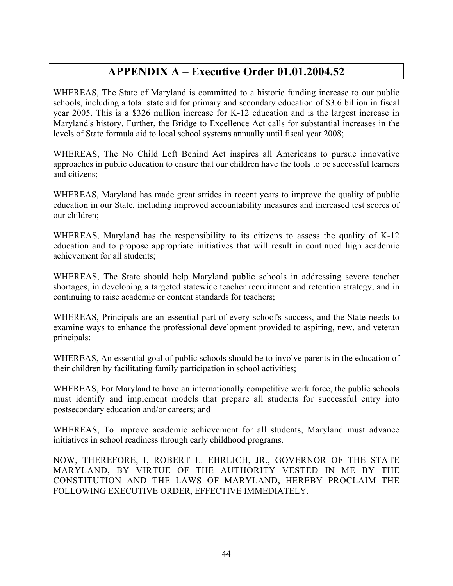# **APPENDIX A – Executive Order 01.01.2004.52**

WHEREAS, The State of Maryland is committed to a historic funding increase to our public schools, including a total state aid for primary and secondary education of \$3.6 billion in fiscal year 2005. This is a \$326 million increase for K-12 education and is the largest increase in Maryland's history. Further, the Bridge to Excellence Act calls for substantial increases in the levels of State formula aid to local school systems annually until fiscal year 2008;

WHEREAS, The No Child Left Behind Act inspires all Americans to pursue innovative approaches in public education to ensure that our children have the tools to be successful learners and citizens;

WHEREAS, Maryland has made great strides in recent years to improve the quality of public education in our State, including improved accountability measures and increased test scores of our children;

WHEREAS, Maryland has the responsibility to its citizens to assess the quality of K-12 education and to propose appropriate initiatives that will result in continued high academic achievement for all students;

WHEREAS, The State should help Maryland public schools in addressing severe teacher shortages, in developing a targeted statewide teacher recruitment and retention strategy, and in continuing to raise academic or content standards for teachers;

WHEREAS, Principals are an essential part of every school's success, and the State needs to examine ways to enhance the professional development provided to aspiring, new, and veteran principals;

WHEREAS, An essential goal of public schools should be to involve parents in the education of their children by facilitating family participation in school activities;

WHEREAS, For Maryland to have an internationally competitive work force, the public schools must identify and implement models that prepare all students for successful entry into postsecondary education and/or careers; and

WHEREAS, To improve academic achievement for all students, Maryland must advance initiatives in school readiness through early childhood programs.

NOW, THEREFORE, I, ROBERT L. EHRLICH, JR., GOVERNOR OF THE STATE MARYLAND, BY VIRTUE OF THE AUTHORITY VESTED IN ME BY THE CONSTITUTION AND THE LAWS OF MARYLAND, HEREBY PROCLAIM THE FOLLOWING EXECUTIVE ORDER, EFFECTIVE IMMEDIATELY.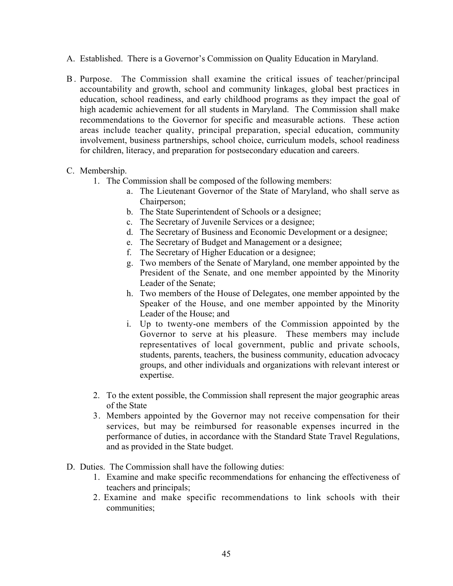- A. Established. There is a Governor's Commission on Quality Education in Maryland.
- B . Purpose. The Commission shall examine the critical issues of teacher/principal accountability and growth, school and community linkages, global best practices in education, school readiness, and early childhood programs as they impact the goal of high academic achievement for all students in Maryland. The Commission shall make recommendations to the Governor for specific and measurable actions. These action areas include teacher quality, principal preparation, special education, community involvement, business partnerships, school choice, curriculum models, school readiness for children, literacy, and preparation for postsecondary education and careers.

# C. Membership.

- 1. The Commission shall be composed of the following members:
	- a. The Lieutenant Governor of the State of Maryland, who shall serve as Chairperson;
	- b. The State Superintendent of Schools or a designee;
	- c. The Secretary of Juvenile Services or a designee;
	- d. The Secretary of Business and Economic Development or a designee;
	- e. The Secretary of Budget and Management or a designee;
	- f. The Secretary of Higher Education or a designee;
	- g. Two members of the Senate of Maryland, one member appointed by the President of the Senate, and one member appointed by the Minority Leader of the Senate;
	- h. Two members of the House of Delegates, one member appointed by the Speaker of the House, and one member appointed by the Minority Leader of the House; and
	- i. Up to twenty-one members of the Commission appointed by the Governor to serve at his pleasure. These members may include representatives of local government, public and private schools, students, parents, teachers, the business community, education advocacy groups, and other individuals and organizations with relevant interest or expertise.
- 2. To the extent possible, the Commission shall represent the major geographic areas of the State
- 3. Members appointed by the Governor may not receive compensation for their services, but may be reimbursed for reasonable expenses incurred in the performance of duties, in accordance with the Standard State Travel Regulations, and as provided in the State budget.
- D. Duties. The Commission shall have the following duties:
	- 1. Examine and make specific recommendations for enhancing the effectiveness of teachers and principals;
	- 2. Examine and make specific recommendations to link schools with their communities;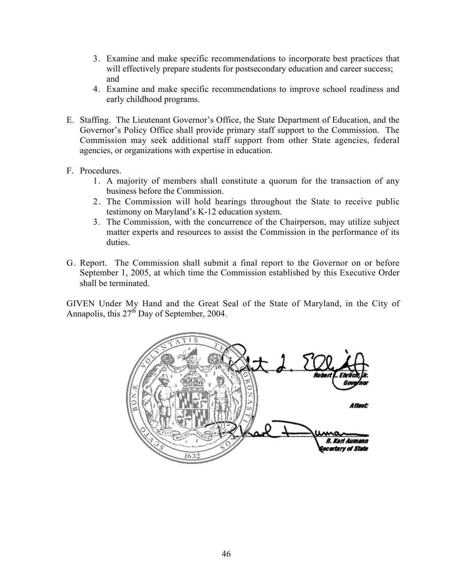- 3. Examine and make specific recommendations to incorporate best practices that will effectively prepare students for postsecondary education and career success; and
- 4. Examine and make specific recommendations to improve school readiness and early childhood programs.
- E. Staffing. The Lieutenant Governor's Office, the State Department of Education, and the Governor's Policy Office shall provide primary staff support to the Commission. The Commission may seek additional staff support from other State agencies, federal agencies, or organizations with expertise in education.
- F. Procedures.
	- 1. A majority of members shall constitute a quorum for the transaction of any business before the Commission.
	- 2. The Commission will hold hearings throughout the State to receive public testimony on Maryland's K-12 education system.
	- 3. The Commission, with the concurrence of the Chairperson, may utilize subject matter experts and resources to assist the Commission in the performance of its duties.
- G. Report. The Commission shall submit a final report to the Governor on or before September 1, 2005, at which time the Commission established by this Executive Order shall be terminated.

GIVEN Under My Hand and the Great Seal of the State of Maryland, in the City of Annapolis, this 27<sup>th</sup> Day of September, 2004.

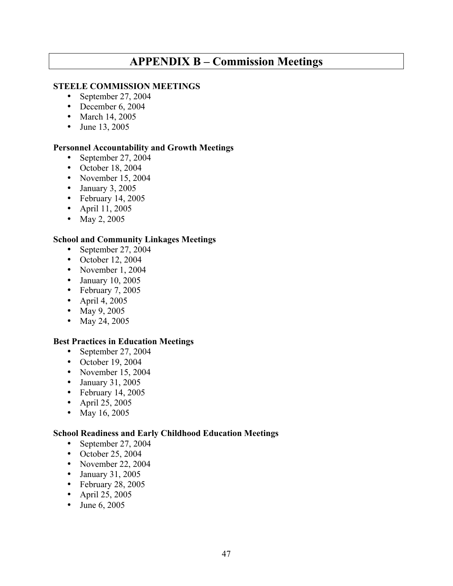# **APPENDIX B – Commission Meetings**

# **STEELE COMMISSION MEETINGS**

- September 27, 2004
- December 6, 2004
- March 14, 2005
- June 13, 2005

# **Personnel Accountability and Growth Meetings**

- September 27, 2004
- October 18, 2004
- November 15, 2004
- January 3, 2005
- February 14, 2005
- April 11, 2005
- May 2, 2005

# **School and Community Linkages Meetings**

- September 27, 2004
- October 12, 2004
- November 1, 2004
- January 10, 2005
- February 7, 2005
- April 4, 2005
- May 9, 2005
- May 24, 2005

# **Best Practices in Education Meetings**

- September 27, 2004
- October 19, 2004
- November 15, 2004
- January 31, 2005
- February 14, 2005
- April 25, 2005
- May 16, 2005

# **School Readiness and Early Childhood Education Meetings**

- September 27, 2004
- October 25, 2004
- November 22, 2004
- January 31, 2005
- February 28, 2005
- April 25, 2005
- June 6, 2005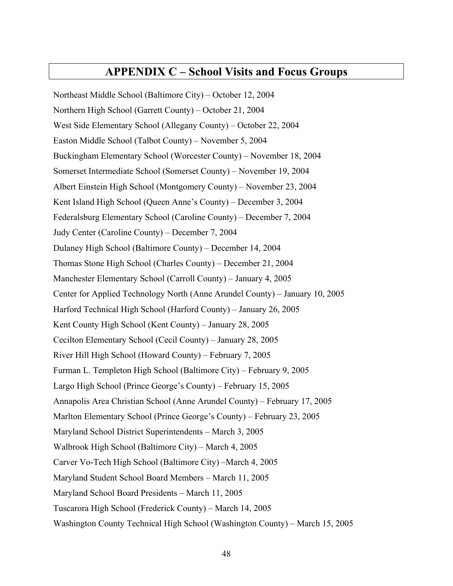# **APPENDIX C – School Visits and Focus Groups**

Northeast Middle School (Baltimore City) – October 12, 2004 Northern High School (Garrett County) – October 21, 2004 West Side Elementary School (Allegany County) – October 22, 2004 Easton Middle School (Talbot County) – November 5, 2004 Buckingham Elementary School (Worcester County) – November 18, 2004 Somerset Intermediate School (Somerset County) – November 19, 2004 Albert Einstein High School (Montgomery County) – November 23, 2004 Kent Island High School (Queen Anne's County) – December 3, 2004 Federalsburg Elementary School (Caroline County) – December 7, 2004 Judy Center (Caroline County) – December 7, 2004 Dulaney High School (Baltimore County) – December 14, 2004 Thomas Stone High School (Charles County) – December 21, 2004 Manchester Elementary School (Carroll County) – January 4, 2005 Center for Applied Technology North (Anne Arundel County) – January 10, 2005 Harford Technical High School (Harford County) – January 26, 2005 Kent County High School (Kent County) – January 28, 2005 Cecilton Elementary School (Cecil County) – January 28, 2005 River Hill High School (Howard County) – February 7, 2005 Furman L. Templeton High School (Baltimore City) – February 9, 2005 Largo High School (Prince George's County) – February 15, 2005 Annapolis Area Christian School (Anne Arundel County) – February 17, 2005 Marlton Elementary School (Prince George's County) – February 23, 2005 Maryland School District Superintendents – March 3, 2005 Walbrook High School (Baltimore City) – March 4, 2005 Carver Vo-Tech High School (Baltimore City) – March 4, 2005 Maryland Student School Board Members - March 11, 2005 Maryland School Board Presidents - March 11, 2005 Tuscarora High School (Frederick County) – March 14, 2005 Washington County Technical High School (Washington County) – March 15, 2005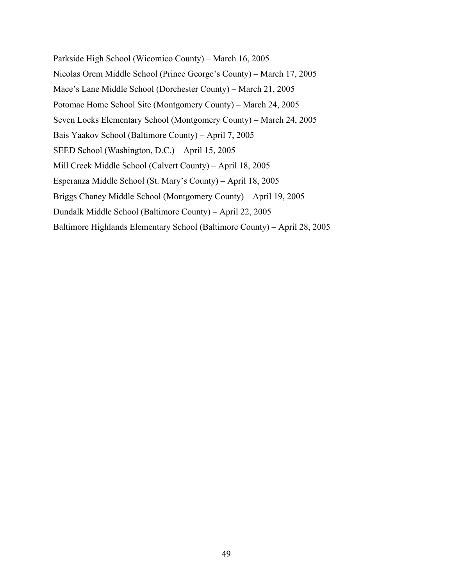Parkside High School (Wicomico County) – March 16, 2005 Nicolas Orem Middle School (Prince George's County) – March 17, 2005 Mace's Lane Middle School (Dorchester County) – March 21, 2005 Potomac Home School Site (Montgomery County) – March 24, 2005 Seven Locks Elementary School (Montgomery County) – March 24, 2005 Bais Yaakov School (Baltimore County) – April 7, 2005 SEED School (Washington, D.C.) – April 15, 2005 Mill Creek Middle School (Calvert County) – April 18, 2005 Esperanza Middle School (St. Mary's County) – April 18, 2005 Briggs Chaney Middle School (Montgomery County) – April 19, 2005 Dundalk Middle School (Baltimore County) - April 22, 2005 Baltimore Highlands Elementary School (Baltimore County) – April 28, 2005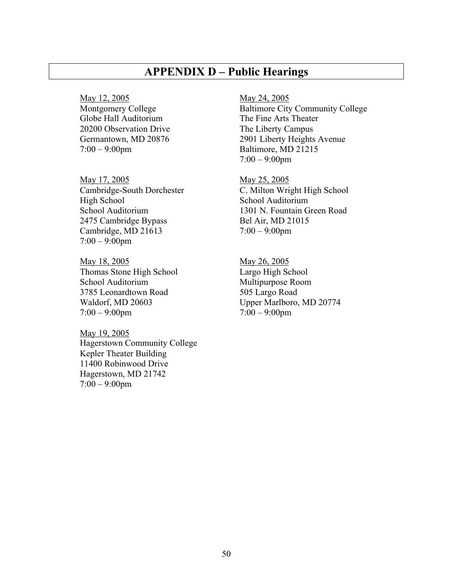# **APPENDIX D – Public Hearings**

May 12, 2005 May 24, 2005 Globe Hall Auditorium The Fine Arts Theater 20200 Observation Drive The Liberty Campus 7:00 – 9:00pm Baltimore, MD 21215

May 17, 2005 May 25, 2005 High School School Auditorium 2475 Cambridge Bypass Bel Air, MD 21015 Cambridge, MD 21613  $7:00 - 9:00 \text{ pm}$  $7:00 - 9:00$ pm

May 18, 2005 May 26, 2005 Thomas Stone High School Largo High School School Auditorium Multipurpose Room 3785 Leonardtown Road 505 Largo Road  $7:00 - 9:00$ pm  $7:00 - 9:00$ pm

May 19, 2005 Hagerstown Community College Kepler Theater Building 11400 Robinwood Drive Hagerstown, MD 21742  $7:00 - 9:00$ pm

Montgomery College Baltimore City Community College Germantown, MD 20876 2901 Liberty Heights Avenue  $7:00 - 9:00$ pm

Cambridge-South Dorchester C. Milton Wright High School School Auditorium 1301 N. Fountain Green Road

Waldorf, MD 20603 Upper Marlboro, MD 20774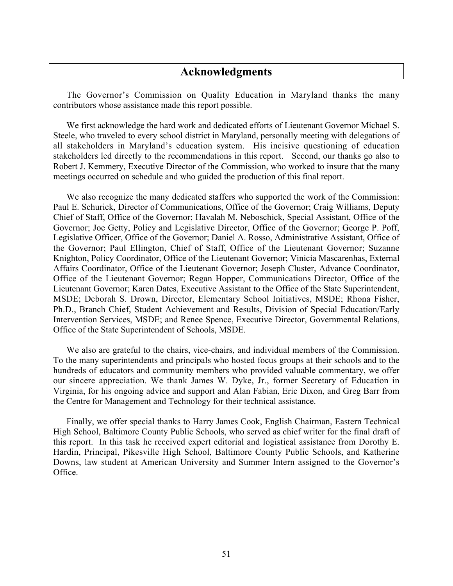# **Acknowledgments**

The Governor's Commission on Quality Education in Maryland thanks the many contributors whose assistance made this report possible.

We first acknowledge the hard work and dedicated efforts of Lieutenant Governor Michael S. Steele, who traveled to every school district in Maryland, personally meeting with delegations of all stakeholders in Maryland's education system. His incisive questioning of education stakeholders led directly to the recommendations in this report. Second, our thanks go also to Robert J. Kemmery, Executive Director of the Commission, who worked to insure that the many meetings occurred on schedule and who guided the production of this final report.

We also recognize the many dedicated staffers who supported the work of the Commission: Paul E. Schurick, Director of Communications, Office of the Governor; Craig Williams, Deputy Chief of Staff, Office of the Governor; Havalah M. Neboschick, Special Assistant, Office of the Governor; Joe Getty, Policy and Legislative Director, Office of the Governor; George P. Poff, Legislative Officer, Office of the Governor; Daniel A. Rosso, Administrative Assistant, Office of the Governor; Paul Ellington, Chief of Staff, Office of the Lieutenant Governor; Suzanne Knighton, Policy Coordinator, Office of the Lieutenant Governor; Vinicia Mascarenhas, External Affairs Coordinator, Office of the Lieutenant Governor; Joseph Cluster, Advance Coordinator, Office of the Lieutenant Governor; Regan Hopper, Communications Director, Office of the Lieutenant Governor; Karen Dates, Executive Assistant to the Office of the State Superintendent, MSDE; Deborah S. Drown, Director, Elementary School Initiatives, MSDE; Rhona Fisher, Ph.D., Branch Chief, Student Achievement and Results, Division of Special Education/Early Intervention Services, MSDE; and Renee Spence, Executive Director, Governmental Relations, Office of the State Superintendent of Schools, MSDE.

We also are grateful to the chairs, vice-chairs, and individual members of the Commission. To the many superintendents and principals who hosted focus groups at their schools and to the hundreds of educators and community members who provided valuable commentary, we offer our sincere appreciation. We thank James W. Dyke, Jr., former Secretary of Education in Virginia, for his ongoing advice and support and Alan Fabian, Eric Dixon, and Greg Barr from the Centre for Management and Technology for their technical assistance.

Finally, we offer special thanks to Harry James Cook, English Chairman, Eastern Technical High School, Baltimore County Public Schools, who served as chief writer for the final draft of this report. In this task he received expert editorial and logistical assistance from Dorothy E. Hardin, Principal, Pikesville High School, Baltimore County Public Schools, and Katherine Downs, law student at American University and Summer Intern assigned to the Governor's Office.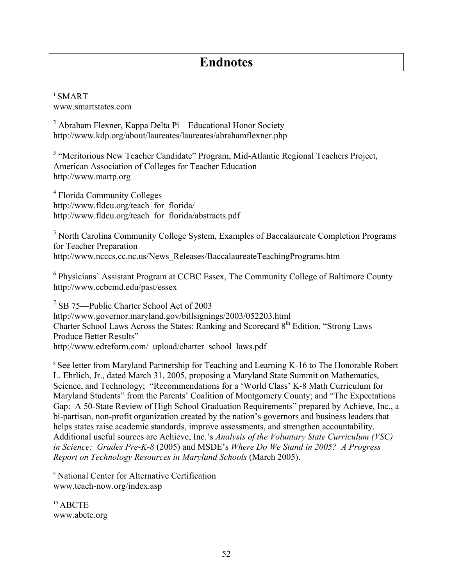# **Endnotes**

 1 SMART www.smartstates.com

 $2$  Abraham Flexner, Kappa Delta Pi—Educational Honor Society http://www.kdp.org/about/laureates/laureates/abrahamflexner.php

<sup>3</sup> "Meritorious New Teacher Candidate" Program, Mid-Atlantic Regional Teachers Project, American Association of Colleges for Teacher Education http://www.martp.org

4 Florida Community Colleges http://www.fldcu.org/teach\_for\_florida/ http://www.fldcu.org/teach\_for\_florida/abstracts.pdf

<sup>5</sup> North Carolina Community College System, Examples of Baccalaureate Completion Programs for Teacher Preparation http://www.ncccs.cc.nc.us/News\_Releases/BaccalaureateTeachingPrograms.htm

<sup>6</sup> Physicians' Assistant Program at CCBC Essex, The Community College of Baltimore County http://www.ccbcmd.edu/past/essex

<sup>7</sup> SB 75-Public Charter School Act of 2003 http://www.governor.maryland.gov/billsignings/2003/052203.html Charter School Laws Across the States: Ranking and Scorecard  $8<sup>th</sup>$  Edition, "Strong Laws Produce Better Results" http://www.edreform.com/\_upload/charter\_school\_laws.pdf

<sup>8</sup> See letter from Maryland Partnership for Teaching and Learning K-16 to The Honorable Robert L. Ehrlich, Jr., dated March 31, 2005, proposing a Maryland State Summit on Mathematics, Science, and Technology; "Recommendations for a 'World Class' K-8 Math Curriculum for Maryland Students" from the Parents' Coalition of Montgomery County; and "The Expectations" Gap: A 50-State Review of High School Graduation Requirements" prepared by Achieve, Inc., a bi-partisan, non-profit organization created by the nation's governors and business leaders that helps states raise academic standards, improve assessments, and strengthen accountability. Additional useful sources are Achieve, Inc.'s *Analysis of the Voluntary State Curriculum (VSC) in Science: Grades Pre-K-8 (2005)* and MSDE's *Where Do We Stand in 2005? A Progress Report on Technology Resources in Maryland Schools* (March 2005).

9 National Center for Alternative Certification www.teach-now.org/index.asp

<sup>10</sup> ABCTE www.abcte.org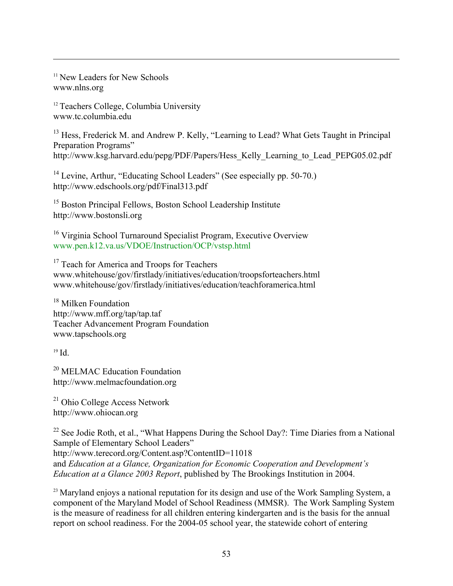<sup>11</sup> New Leaders for New Schools www.nlns.org

 $\overline{a}$ 

<sup>12</sup> Teachers College, Columbia University www.tc.columbia.edu

<sup>13</sup> Hess, Frederick M. and Andrew P. Kelly, "Learning to Lead? What Gets Taught in Principal Preparation Programs" http://www.ksg.harvard.edu/pepg/PDF/Papers/Hess\_Kelly\_Learning\_to\_Lead\_PEPG05.02.pdf

<sup>14</sup> Levine, Arthur, "Educating School Leaders" (See especially pp. 50-70.) http://www.edschools.org/pdf/Final313.pdf

<sup>15</sup> Boston Principal Fellows, Boston School Leadership Institute http://www.bostonsli.org

16 Virginia School Turnaround Specialist Program, Executive Overview www.pen.k12.va.us/VDOE/Instruction/OCP/vstsp.html

<sup>17</sup> Teach for America and Troops for Teachers www.whitehouse/gov/firstlady/initiatives/education/troopsforteachers.html www.whitehouse/gov/firstlady/initiatives/education/teachforamerica.html

<sup>18</sup> Milken Foundation http://www.mff.org/tap/tap.taf Teacher Advancement Program Foundation www.tapschools.org

 $19$  Id.

<sup>20</sup> MELMAC Education Foundation http://www.melmacfoundation.org

21 Ohio College Access Network http://www.ohiocan.org

<sup>22</sup> See Jodie Roth, et al., "What Happens During the School Day?: Time Diaries from a National Sample of Elementary School Leaders" http://www.terecord.org/Content.asp?ContentID=11018 and *Education at a Glance, Organization for Economic Cooperation and Development's Education at a Glance 2003 Report*, published by The Brookings Institution in 2004.

<sup>23</sup> Maryland enjoys a national reputation for its design and use of the Work Sampling System, a component of the Maryland Model of School Readiness (MMSR). The Work Sampling System is the measure of readiness for all children entering kindergarten and is the basis for the annual report on school readiness. For the 2004-05 school year, the statewide cohort of entering